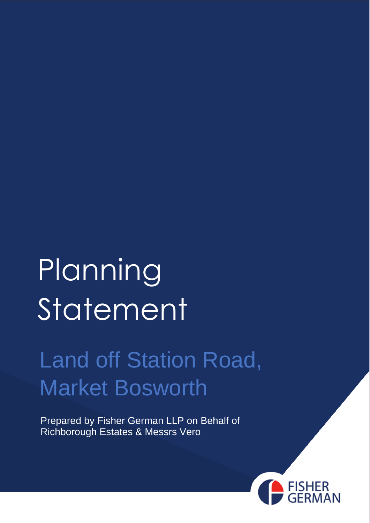# Planning Statement

### Land off Station Road, Market Bosworth

Prepared by Fisher German LLP on Behalf of Richborough Estates & Messrs Vero

0

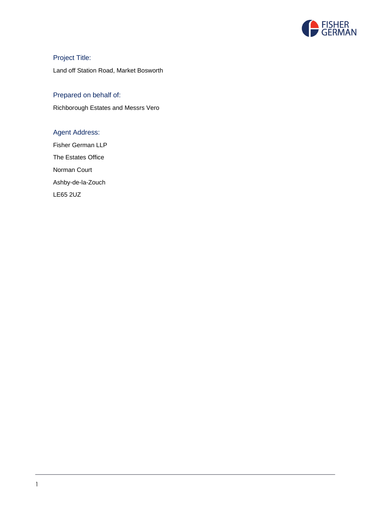

Project Title: Land off Station Road, Market Bosworth

#### Prepared on behalf of:

Richborough Estates and Messrs Vero

#### Agent Address:

Fisher German LLP The Estates Office Norman Court Ashby-de-la-Zouch LE65 2UZ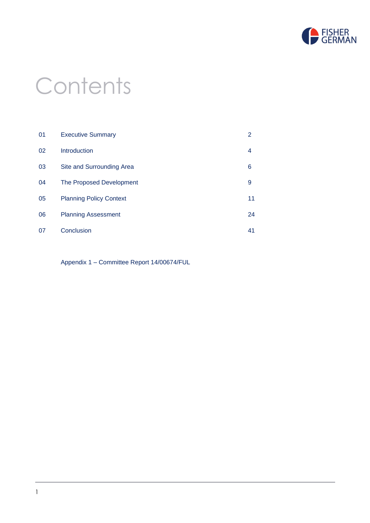

### **Contents**

| 01 | <b>Executive Summary</b>       | 2  |
|----|--------------------------------|----|
| 02 | Introduction                   | 4  |
| 03 | Site and Surrounding Area      | 6  |
| 04 | The Proposed Development       | 9  |
| 05 | <b>Planning Policy Context</b> | 11 |
| 06 | <b>Planning Assessment</b>     | 24 |
| 07 | Conclusion                     | 41 |

Appendix 1 – Committee Report 14/00674/FUL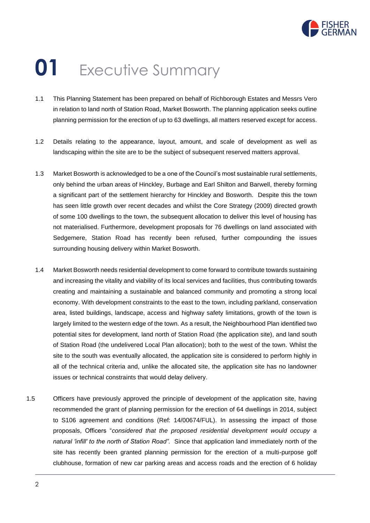

## **01** Executive Summary

- 1.1 This Planning Statement has been prepared on behalf of Richborough Estates and Messrs Vero in relation to land north of Station Road, Market Bosworth. The planning application seeks outline planning permission for the erection of up to 63 dwellings, all matters reserved except for access.
- 1.2 Details relating to the appearance, layout, amount, and scale of development as well as landscaping within the site are to be the subject of subsequent reserved matters approval.
- 1.3 Market Bosworth is acknowledged to be a one of the Council's most sustainable rural settlements, only behind the urban areas of Hinckley, Burbage and Earl Shilton and Barwell, thereby forming a significant part of the settlement hierarchy for Hinckley and Bosworth. Despite this the town has seen little growth over recent decades and whilst the Core Strategy (2009) directed growth of some 100 dwellings to the town, the subsequent allocation to deliver this level of housing has not materialised. Furthermore, development proposals for 76 dwellings on land associated with Sedgemere, Station Road has recently been refused, further compounding the issues surrounding housing delivery within Market Bosworth.
- 1.4 Market Bosworth needs residential development to come forward to contribute towards sustaining and increasing the vitality and viability of its local services and facilities, thus contributing towards creating and maintaining a sustainable and balanced community and promoting a strong local economy. With development constraints to the east to the town, including parkland, conservation area, listed buildings, landscape, access and highway safety limitations, growth of the town is largely limited to the western edge of the town. As a result, the Neighbourhood Plan identified two potential sites for development, land north of Station Road (the application site), and land south of Station Road (the undelivered Local Plan allocation); both to the west of the town. Whilst the site to the south was eventually allocated, the application site is considered to perform highly in all of the technical criteria and, unlike the allocated site, the application site has no landowner issues or technical constraints that would delay delivery.
- 1.5 Officers have previously approved the principle of development of the application site, having recommended the grant of planning permission for the erection of 64 dwellings in 2014, subject to S106 agreement and conditions (Ref: 14/00674/FUL). In assessing the impact of those proposals, Officers "*considered that the proposed residential development would occupy a natural 'infill' to the north of Station Road".* Since that application land immediately north of the site has recently been granted planning permission for the erection of a multi-purpose golf clubhouse, formation of new car parking areas and access roads and the erection of 6 holiday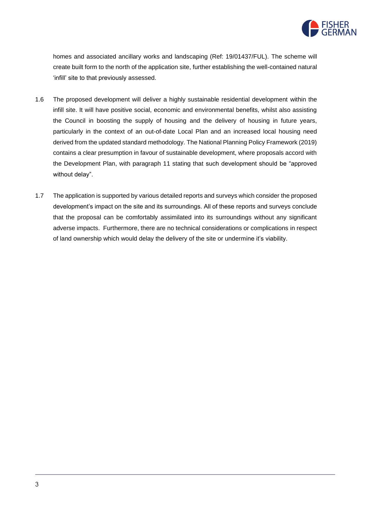

homes and associated ancillary works and landscaping (Ref: 19/01437/FUL). The scheme will create built form to the north of the application site, further establishing the well-contained natural 'infill' site to that previously assessed.

- 1.6 The proposed development will deliver a highly sustainable residential development within the infill site. It will have positive social, economic and environmental benefits, whilst also assisting the Council in boosting the supply of housing and the delivery of housing in future years, particularly in the context of an out-of-date Local Plan and an increased local housing need derived from the updated standard methodology. The National Planning Policy Framework (2019) contains a clear presumption in favour of sustainable development, where proposals accord with the Development Plan, with paragraph 11 stating that such development should be "approved without delay".
- 1.7 The application is supported by various detailed reports and surveys which consider the proposed development's impact on the site and its surroundings. All of these reports and surveys conclude that the proposal can be comfortably assimilated into its surroundings without any significant adverse impacts. Furthermore, there are no technical considerations or complications in respect of land ownership which would delay the delivery of the site or undermine it's viability.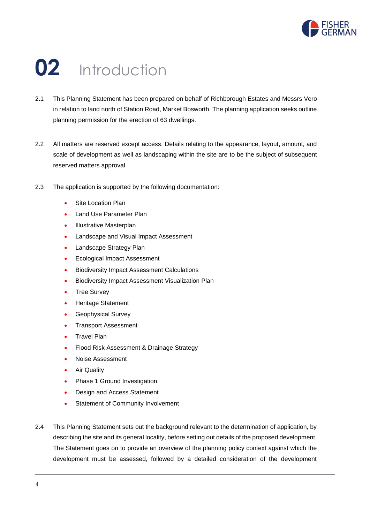

### **02** Introduction

- 2.1 This Planning Statement has been prepared on behalf of Richborough Estates and Messrs Vero in relation to land north of Station Road, Market Bosworth. The planning application seeks outline planning permission for the erection of 63 dwellings.
- 2.2 All matters are reserved except access. Details relating to the appearance, layout, amount, and scale of development as well as landscaping within the site are to be the subject of subsequent reserved matters approval.
- 2.3 The application is supported by the following documentation:
	- Site Location Plan
	- Land Use Parameter Plan
	- Illustrative Masterplan
	- Landscape and Visual Impact Assessment
	- Landscape Strategy Plan
	- Ecological Impact Assessment
	- Biodiversity Impact Assessment Calculations
	- Biodiversity Impact Assessment Visualization Plan
	- Tree Survey
	- Heritage Statement
	- Geophysical Survey
	- Transport Assessment
	- Travel Plan
	- Flood Risk Assessment & Drainage Strategy
	- Noise Assessment
	- **Air Quality**
	- Phase 1 Ground Investigation
	- Design and Access Statement
	- Statement of Community Involvement
- 2.4 This Planning Statement sets out the background relevant to the determination of application, by describing the site and its general locality, before setting out details of the proposed development. The Statement goes on to provide an overview of the planning policy context against which the development must be assessed, followed by a detailed consideration of the development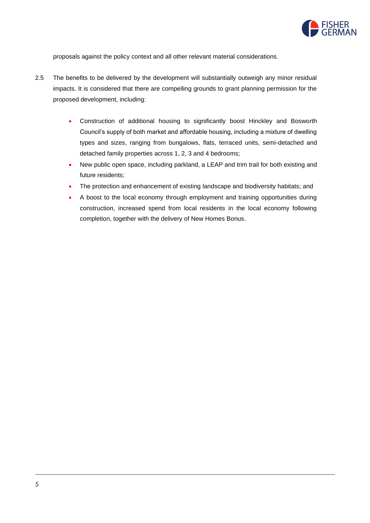

proposals against the policy context and all other relevant material considerations.

- 2.5 The benefits to be delivered by the development will substantially outweigh any minor residual impacts. It is considered that there are compelling grounds to grant planning permission for the proposed development, including:
	- Construction of additional housing to significantly boost Hinckley and Bosworth Council's supply of both market and affordable housing, including a mixture of dwelling types and sizes, ranging from bungalows, flats, terraced units, semi-detached and detached family properties across 1, 2, 3 and 4 bedrooms;
	- New public open space, including parkland, a LEAP and trim trail for both existing and future residents;
	- The protection and enhancement of existing landscape and biodiversity habitats; and
	- A boost to the local economy through employment and training opportunities during construction, increased spend from local residents in the local economy following completion, together with the delivery of New Homes Bonus.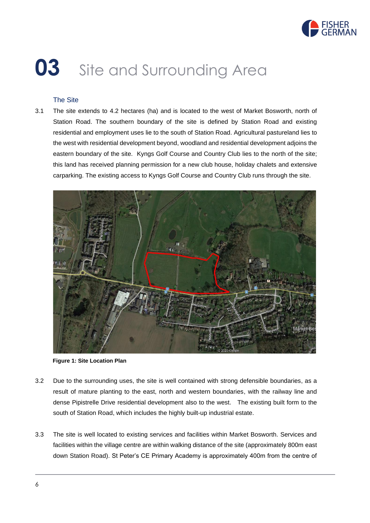

# **03** Site and Surrounding Area

#### The Site

3.1 The site extends to 4.2 hectares (ha) and is located to the west of Market Bosworth, north of Station Road. The southern boundary of the site is defined by Station Road and existing residential and employment uses lie to the south of Station Road. Agricultural pastureland lies to the west with residential development beyond, woodland and residential development adjoins the eastern boundary of the site. Kyngs Golf Course and Country Club lies to the north of the site; this land has received planning permission for a new club house, holiday chalets and extensive carparking. The existing access to Kyngs Golf Course and Country Club runs through the site.



**Figure 1: Site Location Plan**

- 3.2 Due to the surrounding uses, the site is well contained with strong defensible boundaries, as a result of mature planting to the east, north and western boundaries, with the railway line and dense Pipistrelle Drive residential development also to the west. The existing built form to the south of Station Road, which includes the highly built-up industrial estate.
- 3.3 The site is well located to existing services and facilities within Market Bosworth. Services and facilities within the village centre are within walking distance of the site (approximately 800m east down Station Road). St Peter's CE Primary Academy is approximately 400m from the centre of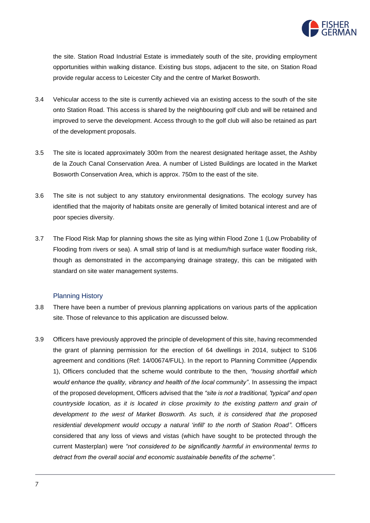

the site. Station Road Industrial Estate is immediately south of the site, providing employment opportunities within walking distance. Existing bus stops, adjacent to the site, on Station Road provide regular access to Leicester City and the centre of Market Bosworth.

- 3.4 Vehicular access to the site is currently achieved via an existing access to the south of the site onto Station Road. This access is shared by the neighbouring golf club and will be retained and improved to serve the development. Access through to the golf club will also be retained as part of the development proposals.
- 3.5 The site is located approximately 300m from the nearest designated heritage asset, the Ashby de la Zouch Canal Conservation Area. A number of Listed Buildings are located in the Market Bosworth Conservation Area, which is approx. 750m to the east of the site.
- 3.6 The site is not subject to any statutory environmental designations. The ecology survey has identified that the majority of habitats onsite are generally of limited botanical interest and are of poor species diversity.
- 3.7 The Flood Risk Map for planning shows the site as lying within Flood Zone 1 (Low Probability of Flooding from rivers or sea). A small strip of land is at medium/high surface water flooding risk, though as demonstrated in the accompanying drainage strategy, this can be mitigated with standard on site water management systems.

#### Planning History

- 3.8 There have been a number of previous planning applications on various parts of the application site. Those of relevance to this application are discussed below.
- 3.9 Officers have previously approved the principle of development of this site, having recommended the grant of planning permission for the erection of 64 dwellings in 2014, subject to S106 agreement and conditions (Ref: 14/00674/FUL). In the report to Planning Committee (Appendix 1), Officers concluded that the scheme would contribute to the then, *"housing shortfall which would enhance the quality, vibrancy and health of the local community"*. In assessing the impact of the proposed development, Officers advised that the *"site is not a traditional, 'typical' and open countryside location, as it is located in close proximity to the existing pattern and grain of development to the west of Market Bosworth. As such, it is considered that the proposed residential development would occupy a natural 'infill' to the north of Station Road".* Officers considered that any loss of views and vistas (which have sought to be protected through the current Masterplan) were *"not considered to be significantly harmful in environmental terms to detract from the overall social and economic sustainable benefits of the scheme".*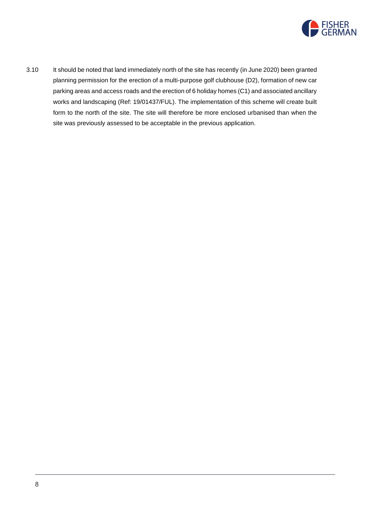

3.10 It should be noted that land immediately north of the site has recently (in June 2020) been granted planning permission for the erection of a multi-purpose golf clubhouse (D2), formation of new car parking areas and access roads and the erection of 6 holiday homes (C1) and associated ancillary works and landscaping (Ref: 19/01437/FUL). The implementation of this scheme will create built form to the north of the site. The site will therefore be more enclosed urbanised than when the site was previously assessed to be acceptable in the previous application.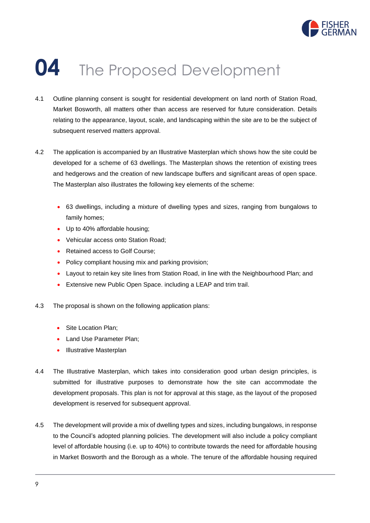

### **04** The Proposed Development

- 4.1 Outline planning consent is sought for residential development on land north of Station Road, Market Bosworth, all matters other than access are reserved for future consideration. Details relating to the appearance, layout, scale, and landscaping within the site are to be the subject of subsequent reserved matters approval.
- 4.2 The application is accompanied by an Illustrative Masterplan which shows how the site could be developed for a scheme of 63 dwellings. The Masterplan shows the retention of existing trees and hedgerows and the creation of new landscape buffers and significant areas of open space. The Masterplan also illustrates the following key elements of the scheme:
	- 63 dwellings, including a mixture of dwelling types and sizes, ranging from bungalows to family homes;
	- Up to 40% affordable housing;
	- Vehicular access onto Station Road;
	- Retained access to Golf Course:
	- Policy compliant housing mix and parking provision;
	- Layout to retain key site lines from Station Road, in line with the Neighbourhood Plan; and
	- Extensive new Public Open Space. including a LEAP and trim trail.
- 4.3 The proposal is shown on the following application plans:
	- Site Location Plan;
	- Land Use Parameter Plan:
	- Illustrative Masterplan
- 4.4 The Illustrative Masterplan, which takes into consideration good urban design principles, is submitted for illustrative purposes to demonstrate how the site can accommodate the development proposals. This plan is not for approval at this stage, as the layout of the proposed development is reserved for subsequent approval.
- 4.5 The development will provide a mix of dwelling types and sizes, including bungalows, in response to the Council's adopted planning policies. The development will also include a policy compliant level of affordable housing (i.e. up to 40%) to contribute towards the need for affordable housing in Market Bosworth and the Borough as a whole. The tenure of the affordable housing required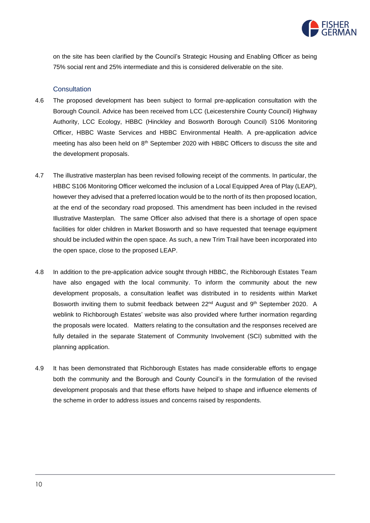

on the site has been clarified by the Council's Strategic Housing and Enabling Officer as being 75% social rent and 25% intermediate and this is considered deliverable on the site.

#### **Consultation**

- 4.6 The proposed development has been subject to formal pre-application consultation with the Borough Council. Advice has been received from LCC (Leicestershire County Council) Highway Authority, LCC Ecology, HBBC (Hinckley and Bosworth Borough Council) S106 Monitoring Officer, HBBC Waste Services and HBBC Environmental Health. A pre-application advice meeting has also been held on 8<sup>th</sup> September 2020 with HBBC Officers to discuss the site and the development proposals.
- 4.7 The illustrative masterplan has been revised following receipt of the comments. In particular, the HBBC S106 Monitoring Officer welcomed the inclusion of a Local Equipped Area of Play (LEAP), however they advised that a preferred location would be to the north of its then proposed location, at the end of the secondary road proposed. This amendment has been included in the revised Illustrative Masterplan. The same Officer also advised that there is a shortage of open space facilities for older children in Market Bosworth and so have requested that teenage equipment should be included within the open space. As such, a new Trim Trail have been incorporated into the open space, close to the proposed LEAP.
- 4.8 In addition to the pre-application advice sought through HBBC, the Richborough Estates Team have also engaged with the local community. To inform the community about the new development proposals, a consultation leaflet was distributed in to residents within Market Bosworth inviting them to submit feedback between 22<sup>nd</sup> August and 9<sup>th</sup> September 2020. A weblink to Richborough Estates' website was also provided where further inormation regarding the proposals were located. Matters relating to the consultation and the responses received are fully detailed in the separate Statement of Community Involvement (SCI) submitted with the planning application.
- 4.9 It has been demonstrated that Richborough Estates has made considerable efforts to engage both the community and the Borough and County Council's in the formulation of the revised development proposals and that these efforts have helped to shape and influence elements of the scheme in order to address issues and concerns raised by respondents.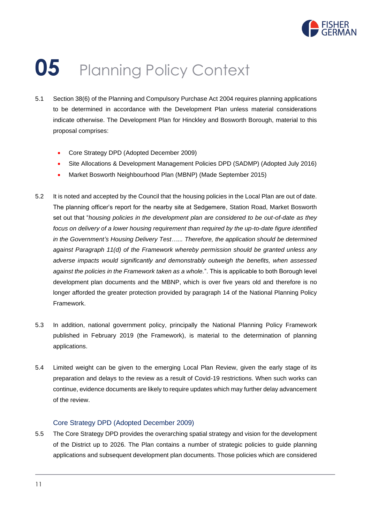

### **05** Planning Policy Context

- 5.1 Section 38(6) of the Planning and Compulsory Purchase Act 2004 requires planning applications to be determined in accordance with the Development Plan unless material considerations indicate otherwise. The Development Plan for Hinckley and Bosworth Borough, material to this proposal comprises:
	- Core Strategy DPD (Adopted December 2009)
	- Site Allocations & Development Management Policies DPD (SADMP) (Adopted July 2016)
	- Market Bosworth Neighbourhood Plan (MBNP) (Made September 2015)
- 5.2 It is noted and accepted by the Council that the housing policies in the Local Plan are out of date. The planning officer's report for the nearby site at Sedgemere, Station Road, Market Bosworth set out that "*housing policies in the development plan are considered to be out-of-date as they focus on delivery of a lower housing requirement than required by the up-to-date figure identified in the Government's Housing Delivery Test…... Therefore, the application should be determined against Paragraph 11(d) of the Framework whereby permission should be granted unless any adverse impacts would significantly and demonstrably outweigh the benefits, when assessed against the policies in the Framework taken as a whole.*". This is applicable to both Borough level development plan documents and the MBNP, which is over five years old and therefore is no longer afforded the greater protection provided by paragraph 14 of the National Planning Policy Framework.
- 5.3 In addition, national government policy, principally the National Planning Policy Framework published in February 2019 (the Framework), is material to the determination of planning applications.
- 5.4 Limited weight can be given to the emerging Local Plan Review, given the early stage of its preparation and delays to the review as a result of Covid-19 restrictions. When such works can continue, evidence documents are likely to require updates which may further delay advancement of the review.

#### Core Strategy DPD (Adopted December 2009)

5.5 The Core Strategy DPD provides the overarching spatial strategy and vision for the development of the District up to 2026. The Plan contains a number of strategic policies to guide planning applications and subsequent development plan documents. Those policies which are considered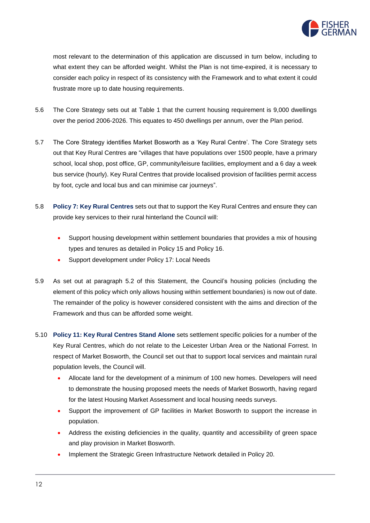

most relevant to the determination of this application are discussed in turn below, including to what extent they can be afforded weight. Whilst the Plan is not time-expired, it is necessary to consider each policy in respect of its consistency with the Framework and to what extent it could frustrate more up to date housing requirements.

- 5.6 The Core Strategy sets out at Table 1 that the current housing requirement is 9,000 dwellings over the period 2006-2026. This equates to 450 dwellings per annum, over the Plan period.
- 5.7 The Core Strategy identifies Market Bosworth as a 'Key Rural Centre'. The Core Strategy sets out that Key Rural Centres are "villages that have populations over 1500 people, have a primary school, local shop, post office, GP, community/leisure facilities, employment and a 6 day a week bus service (hourly). Key Rural Centres that provide localised provision of facilities permit access by foot, cycle and local bus and can minimise car journeys".
- 5.8 **Policy 7: Key Rural Centres** sets out that to support the Key Rural Centres and ensure they can provide key services to their rural hinterland the Council will:
	- Support housing development within settlement boundaries that provides a mix of housing types and tenures as detailed in Policy 15 and Policy 16.
	- Support development under Policy 17: Local Needs
- 5.9 As set out at paragraph 5.2 of this Statement, the Council's housing policies (including the element of this policy which only allows housing within settlement boundaries) is now out of date. The remainder of the policy is however considered consistent with the aims and direction of the Framework and thus can be afforded some weight.
- 5.10 **Policy 11: Key Rural Centres Stand Alone** sets settlement specific policies for a number of the Key Rural Centres, which do not relate to the Leicester Urban Area or the National Forrest. In respect of Market Bosworth, the Council set out that to support local services and maintain rural population levels, the Council will.
	- Allocate land for the development of a minimum of 100 new homes. Developers will need to demonstrate the housing proposed meets the needs of Market Bosworth, having regard for the latest Housing Market Assessment and local housing needs surveys.
	- Support the improvement of GP facilities in Market Bosworth to support the increase in population.
	- Address the existing deficiencies in the quality, quantity and accessibility of green space and play provision in Market Bosworth.
	- Implement the Strategic Green Infrastructure Network detailed in Policy 20.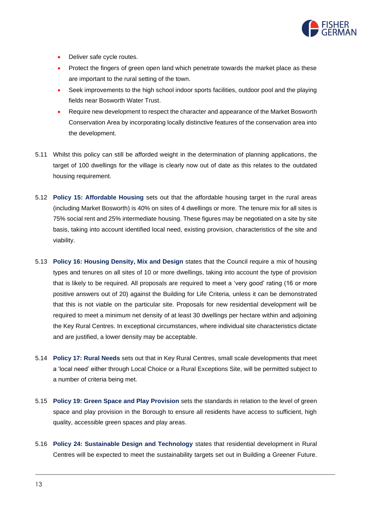

- Deliver safe cycle routes.
- Protect the fingers of green open land which penetrate towards the market place as these are important to the rural setting of the town.
- Seek improvements to the high school indoor sports facilities, outdoor pool and the playing fields near Bosworth Water Trust.
- Require new development to respect the character and appearance of the Market Bosworth Conservation Area by incorporating locally distinctive features of the conservation area into the development.
- 5.11 Whilst this policy can still be afforded weight in the determination of planning applications, the target of 100 dwellings for the village is clearly now out of date as this relates to the outdated housing requirement.
- 5.12 **Policy 15: Affordable Housing** sets out that the affordable housing target in the rural areas (including Market Bosworth) is 40% on sites of 4 dwellings or more. The tenure mix for all sites is 75% social rent and 25% intermediate housing. These figures may be negotiated on a site by site basis, taking into account identified local need, existing provision, characteristics of the site and viability.
- 5.13 **Policy 16: Housing Density, Mix and Design** states that the Council require a mix of housing types and tenures on all sites of 10 or more dwellings, taking into account the type of provision that is likely to be required. All proposals are required to meet a 'very good' rating (16 or more positive answers out of 20) against the Building for Life Criteria, unless it can be demonstrated that this is not viable on the particular site. Proposals for new residential development will be required to meet a minimum net density of at least 30 dwellings per hectare within and adjoining the Key Rural Centres. In exceptional circumstances, where individual site characteristics dictate and are justified, a lower density may be acceptable.
- 5.14 **Policy 17: Rural Needs** sets out that in Key Rural Centres, small scale developments that meet a 'local need' either through Local Choice or a Rural Exceptions Site, will be permitted subject to a number of criteria being met.
- 5.15 **Policy 19: Green Space and Play Provision** sets the standards in relation to the level of green space and play provision in the Borough to ensure all residents have access to sufficient, high quality, accessible green spaces and play areas.
- 5.16 **Policy 24: Sustainable Design and Technology** states that residential development in Rural Centres will be expected to meet the sustainability targets set out in Building a Greener Future.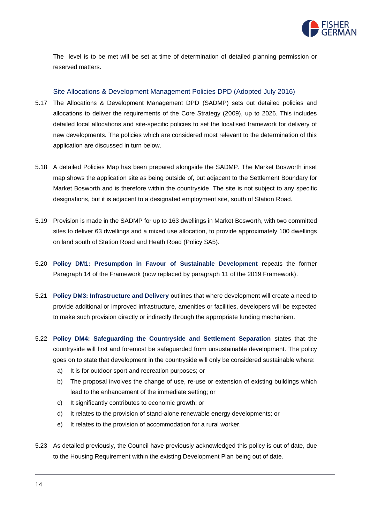

The level is to be met will be set at time of determination of detailed planning permission or reserved matters.

#### Site Allocations & Development Management Policies DPD (Adopted July 2016)

- 5.17 The Allocations & Development Management DPD (SADMP) sets out detailed policies and allocations to deliver the requirements of the Core Strategy (2009), up to 2026. This includes detailed local allocations and site-specific policies to set the localised framework for delivery of new developments. The policies which are considered most relevant to the determination of this application are discussed in turn below.
- 5.18 A detailed Policies Map has been prepared alongside the SADMP. The Market Bosworth inset map shows the application site as being outside of, but adjacent to the Settlement Boundary for Market Bosworth and is therefore within the countryside. The site is not subject to any specific designations, but it is adjacent to a designated employment site, south of Station Road.
- 5.19 Provision is made in the SADMP for up to 163 dwellings in Market Bosworth, with two committed sites to deliver 63 dwellings and a mixed use allocation, to provide approximately 100 dwellings on land south of Station Road and Heath Road (Policy SA5).
- 5.20 **Policy DM1: Presumption in Favour of Sustainable Development** repeats the former Paragraph 14 of the Framework (now replaced by paragraph 11 of the 2019 Framework).
- 5.21 **Policy DM3: Infrastructure and Delivery** outlines that where development will create a need to provide additional or improved infrastructure, amenities or facilities, developers will be expected to make such provision directly or indirectly through the appropriate funding mechanism.
- 5.22 **Policy DM4: Safeguarding the Countryside and Settlement Separation** states that the countryside will first and foremost be safeguarded from unsustainable development. The policy goes on to state that development in the countryside will only be considered sustainable where:
	- a) It is for outdoor sport and recreation purposes; or
	- b) The proposal involves the change of use, re-use or extension of existing buildings which lead to the enhancement of the immediate setting; or
	- c) It significantly contributes to economic growth; or
	- d) It relates to the provision of stand-alone renewable energy developments; or
	- e) It relates to the provision of accommodation for a rural worker.
- 5.23 As detailed previously, the Council have previously acknowledged this policy is out of date, due to the Housing Requirement within the existing Development Plan being out of date.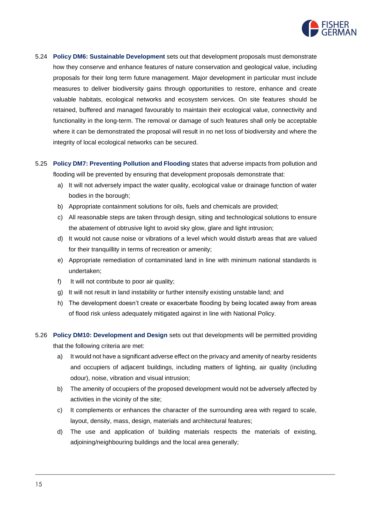

- 5.24 **Policy DM6: Sustainable Development** sets out that development proposals must demonstrate how they conserve and enhance features of nature conservation and geological value, including proposals for their long term future management. Major development in particular must include measures to deliver biodiversity gains through opportunities to restore, enhance and create valuable habitats, ecological networks and ecosystem services. On site features should be retained, buffered and managed favourably to maintain their ecological value, connectivity and functionality in the long-term. The removal or damage of such features shall only be acceptable where it can be demonstrated the proposal will result in no net loss of biodiversity and where the integrity of local ecological networks can be secured.
- 5.25 **Policy DM7: Preventing Pollution and Flooding** states that adverse impacts from pollution and flooding will be prevented by ensuring that development proposals demonstrate that:
	- a) It will not adversely impact the water quality, ecological value or drainage function of water bodies in the borough;
	- b) Appropriate containment solutions for oils, fuels and chemicals are provided;
	- c) All reasonable steps are taken through design, siting and technological solutions to ensure the abatement of obtrusive light to avoid sky glow, glare and light intrusion;
	- d) It would not cause noise or vibrations of a level which would disturb areas that are valued for their tranquillity in terms of recreation or amenity;
	- e) Appropriate remediation of contaminated land in line with minimum national standards is undertaken;
	- f) It will not contribute to poor air quality;
	- g) It will not result in land instability or further intensify existing unstable land; and
	- h) The development doesn't create or exacerbate flooding by being located away from areas of flood risk unless adequately mitigated against in line with National Policy.
- 5.26 **Policy DM10: Development and Design** sets out that developments will be permitted providing that the following criteria are met:
	- a) It would not have a significant adverse effect on the privacy and amenity of nearby residents and occupiers of adjacent buildings, including matters of lighting, air quality (including odour), noise, vibration and visual intrusion;
	- b) The amenity of occupiers of the proposed development would not be adversely affected by activities in the vicinity of the site;
	- c) It complements or enhances the character of the surrounding area with regard to scale, layout, density, mass, design, materials and architectural features;
	- d) The use and application of building materials respects the materials of existing, adjoining/neighbouring buildings and the local area generally;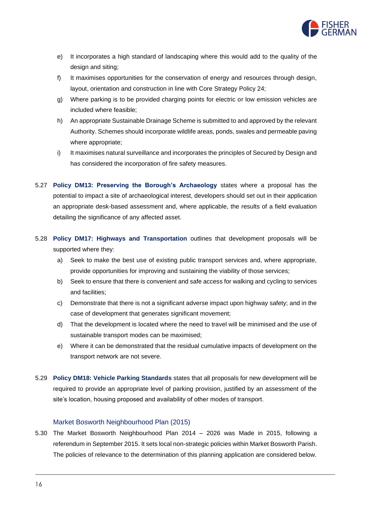

- e) It incorporates a high standard of landscaping where this would add to the quality of the design and siting;
- f) It maximises opportunities for the conservation of energy and resources through design, layout, orientation and construction in line with Core Strategy Policy 24;
- g) Where parking is to be provided charging points for electric or low emission vehicles are included where feasible;
- h) An appropriate Sustainable Drainage Scheme is submitted to and approved by the relevant Authority. Schemes should incorporate wildlife areas, ponds, swales and permeable paving where appropriate;
- i) It maximises natural surveillance and incorporates the principles of Secured by Design and has considered the incorporation of fire safety measures.
- 5.27 **Policy DM13: Preserving the Borough's Archaeology** states where a proposal has the potential to impact a site of archaeological interest, developers should set out in their application an appropriate desk-based assessment and, where applicable, the results of a field evaluation detailing the significance of any affected asset.
- 5.28 **Policy DM17: Highways and Transportation** outlines that development proposals will be supported where they:
	- a) Seek to make the best use of existing public transport services and, where appropriate, provide opportunities for improving and sustaining the viability of those services;
	- b) Seek to ensure that there is convenient and safe access for walking and cycling to services and facilities;
	- c) Demonstrate that there is not a significant adverse impact upon highway safety; and in the case of development that generates significant movement;
	- d) That the development is located where the need to travel will be minimised and the use of sustainable transport modes can be maximised;
	- e) Where it can be demonstrated that the residual cumulative impacts of development on the transport network are not severe.
- 5.29 **Policy DM18: Vehicle Parking Standards** states that all proposals for new development will be required to provide an appropriate level of parking provision, justified by an assessment of the site's location, housing proposed and availability of other modes of transport.

#### Market Bosworth Neighbourhood Plan (2015)

5.30 The Market Bosworth Neighbourhood Plan 2014 – 2026 was Made in 2015, following a referendum in September 2015. It sets local non-strategic policies within Market Bosworth Parish. The policies of relevance to the determination of this planning application are considered below.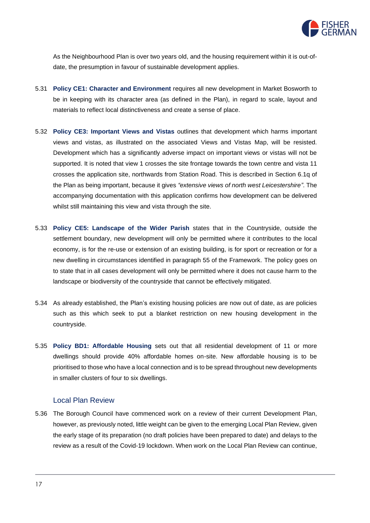

As the Neighbourhood Plan is over two years old, and the housing requirement within it is out-ofdate, the presumption in favour of sustainable development applies.

- 5.31 **Policy CE1: Character and Environment** requires all new development in Market Bosworth to be in keeping with its character area (as defined in the Plan), in regard to scale, layout and materials to reflect local distinctiveness and create a sense of place.
- 5.32 **Policy CE3: Important Views and Vistas** outlines that development which harms important views and vistas, as illustrated on the associated Views and Vistas Map, will be resisted. Development which has a significantly adverse impact on important views or vistas will not be supported. It is noted that view 1 crosses the site frontage towards the town centre and vista 11 crosses the application site, northwards from Station Road. This is described in Section 6.1q of the Plan as being important, because it gives *"extensive views of north west Leicestershire"*. The accompanying documentation with this application confirms how development can be delivered whilst still maintaining this view and vista through the site.
- 5.33 **Policy CE5: Landscape of the Wider Parish** states that in the Countryside, outside the settlement boundary, new development will only be permitted where it contributes to the local economy, is for the re-use or extension of an existing building, is for sport or recreation or for a new dwelling in circumstances identified in paragraph 55 of the Framework. The policy goes on to state that in all cases development will only be permitted where it does not cause harm to the landscape or biodiversity of the countryside that cannot be effectively mitigated.
- 5.34 As already established, the Plan's existing housing policies are now out of date, as are policies such as this which seek to put a blanket restriction on new housing development in the countryside.
- 5.35 **Policy BD1: Affordable Housing** sets out that all residential development of 11 or more dwellings should provide 40% affordable homes on-site. New affordable housing is to be prioritised to those who have a local connection and is to be spread throughout new developments in smaller clusters of four to six dwellings.

#### Local Plan Review

5.36 The Borough Council have commenced work on a review of their current Development Plan, however, as previously noted, little weight can be given to the emerging Local Plan Review, given the early stage of its preparation (no draft policies have been prepared to date) and delays to the review as a result of the Covid-19 lockdown. When work on the Local Plan Review can continue,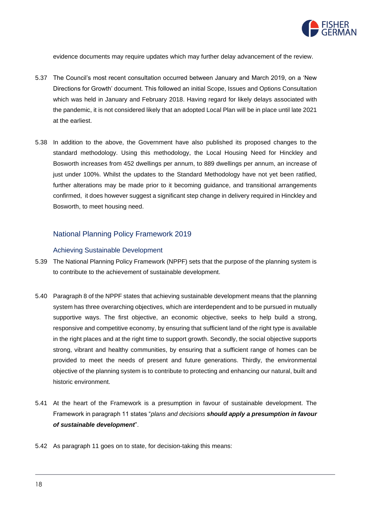

evidence documents may require updates which may further delay advancement of the review.

- 5.37 The Council's most recent consultation occurred between January and March 2019, on a 'New Directions for Growth' document. This followed an initial Scope, Issues and Options Consultation which was held in January and February 2018. Having regard for likely delays associated with the pandemic, it is not considered likely that an adopted Local Plan will be in place until late 2021 at the earliest.
- 5.38 In addition to the above, the Government have also published its proposed changes to the standard methodology. Using this methodology, the Local Housing Need for Hinckley and Bosworth increases from 452 dwellings per annum, to 889 dwellings per annum, an increase of just under 100%. Whilst the updates to the Standard Methodology have not yet been ratified, further alterations may be made prior to it becoming guidance, and transitional arrangements confirmed, it does however suggest a significant step change in delivery required in Hinckley and Bosworth, to meet housing need.

#### National Planning Policy Framework 2019

#### Achieving Sustainable Development

- 5.39 The National Planning Policy Framework (NPPF) sets that the purpose of the planning system is to contribute to the achievement of sustainable development.
- 5.40 Paragraph 8 of the NPPF states that achieving sustainable development means that the planning system has three overarching objectives, which are interdependent and to be pursued in mutually supportive ways. The first objective, an economic objective, seeks to help build a strong, responsive and competitive economy, by ensuring that sufficient land of the right type is available in the right places and at the right time to support growth. Secondly, the social objective supports strong, vibrant and healthy communities, by ensuring that a sufficient range of homes can be provided to meet the needs of present and future generations. Thirdly, the environmental objective of the planning system is to contribute to protecting and enhancing our natural, built and historic environment.
- 5.41 At the heart of the Framework is a presumption in favour of sustainable development. The Framework in paragraph 11 states "*plans and decisions should apply a presumption in favour of sustainable development*".
- 5.42 As paragraph 11 goes on to state, for decision-taking this means: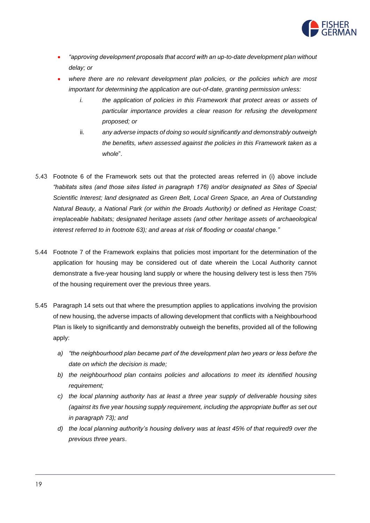

- *"approving development proposals that accord with an up-to-date development plan without delay; or*
- *where there are no relevant development plan policies, or the policies which are most important for determining the application are out-of-date, granting permission unless:* 
	- *i. the application of policies in this Framework that protect areas or assets of particular importance provides a clear reason for refusing the development proposed; or*
	- ii. *any adverse impacts of doing so would significantly and demonstrably outweigh the benefits, when assessed against the policies in this Framework taken as a whole*".
- 5.43 Footnote 6 of the Framework sets out that the protected areas referred in (i) above include *"habitats sites (and those sites listed in paragraph 176) and/or designated as Sites of Special Scientific Interest; land designated as Green Belt, Local Green Space, an Area of Outstanding Natural Beauty, a National Park (or within the Broads Authority) or defined as Heritage Coast; irreplaceable habitats; designated heritage assets (and other heritage assets of archaeological interest referred to in footnote 63); and areas at risk of flooding or coastal change."*
- 5.44 Footnote 7 of the Framework explains that policies most important for the determination of the application for housing may be considered out of date wherein the Local Authority cannot demonstrate a five-year housing land supply or where the housing delivery test is less then 75% of the housing requirement over the previous three years.
- 5.45 Paragraph 14 sets out that where the presumption applies to applications involving the provision of new housing, the adverse impacts of allowing development that conflicts with a Neighbourhood Plan is likely to significantly and demonstrably outweigh the benefits, provided all of the following apply:
	- *a) "the neighbourhood plan became part of the development plan two years or less before the date on which the decision is made;*
	- *b) the neighbourhood plan contains policies and allocations to meet its identified housing requirement;*
	- *c) the local planning authority has at least a three year supply of deliverable housing sites (against its five year housing supply requirement, including the appropriate buffer as set out in paragraph 73); and*
	- *d) the local planning authority's housing delivery was at least 45% of that required9 over the previous three years*.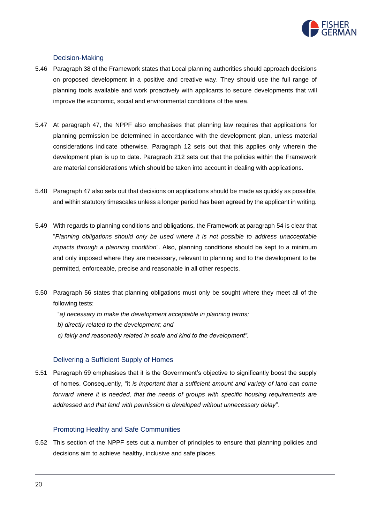

#### Decision-Making

- 5.46 Paragraph 38 of the Framework states that Local planning authorities should approach decisions on proposed development in a positive and creative way. They should use the full range of planning tools available and work proactively with applicants to secure developments that will improve the economic, social and environmental conditions of the area.
- 5.47 At paragraph 47, the NPPF also emphasises that planning law requires that applications for planning permission be determined in accordance with the development plan, unless material considerations indicate otherwise. Paragraph 12 sets out that this applies only wherein the development plan is up to date. Paragraph 212 sets out that the policies within the Framework are material considerations which should be taken into account in dealing with applications.
- 5.48 Paragraph 47 also sets out that decisions on applications should be made as quickly as possible, and within statutory timescales unless a longer period has been agreed by the applicant in writing.
- 5.49 With regards to planning conditions and obligations, the Framework at paragraph 54 is clear that "*Planning obligations should only be used where it is not possible to address unacceptable impacts through a planning condition*". Also, planning conditions should be kept to a minimum and only imposed where they are necessary, relevant to planning and to the development to be permitted, enforceable, precise and reasonable in all other respects.
- 5.50 Paragraph 56 states that planning obligations must only be sought where they meet all of the following tests:
	- "*a) necessary to make the development acceptable in planning terms;*
	- *b) directly related to the development; and*
	- *c) fairly and reasonably related in scale and kind to the development".*

#### Delivering a Sufficient Supply of Homes

5.51 Paragraph 59 emphasises that it is the Government's objective to significantly boost the supply of homes. Consequently, "it *is important that a sufficient amount and variety of land can come*  forward where it is needed, that the needs of groups with specific housing requirements are *addressed and that land with permission is developed without unnecessary delay*".

#### Promoting Healthy and Safe Communities

5.52 This section of the NPPF sets out a number of principles to ensure that planning policies and decisions aim to achieve healthy, inclusive and safe places.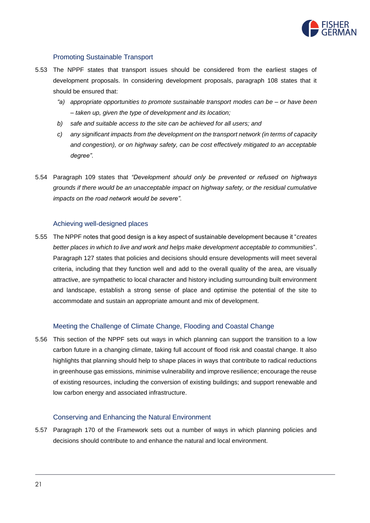

#### Promoting Sustainable Transport

- 5.53 The NPPF states that transport issues should be considered from the earliest stages of development proposals. In considering development proposals, paragraph 108 states that it should be ensured that:
	- *"a) appropriate opportunities to promote sustainable transport modes can be – or have been – taken up, given the type of development and its location;*
	- *b) safe and suitable access to the site can be achieved for all users; and*
	- *c) any significant impacts from the development on the transport network (in terms of capacity and congestion), or on highway safety, can be cost effectively mitigated to an acceptable degree".*
- 5.54 Paragraph 109 states that *"Development should only be prevented or refused on highways grounds if there would be an unacceptable impact on highway safety, or the residual cumulative impacts on the road network would be severe".*

#### Achieving well-designed places

5.55 The NPPF notes that good design is a key aspect of sustainable development because it "*creates better places in which to live and work and helps make development acceptable to communities*". Paragraph 127 states that policies and decisions should ensure developments will meet several criteria, including that they function well and add to the overall quality of the area, are visually attractive, are sympathetic to local character and history including surrounding built environment and landscape, establish a strong sense of place and optimise the potential of the site to accommodate and sustain an appropriate amount and mix of development.

#### Meeting the Challenge of Climate Change, Flooding and Coastal Change

5.56 This section of the NPPF sets out ways in which planning can support the transition to a low carbon future in a changing climate, taking full account of flood risk and coastal change. It also highlights that planning should help to shape places in ways that contribute to radical reductions in greenhouse gas emissions, minimise vulnerability and improve resilience; encourage the reuse of existing resources, including the conversion of existing buildings; and support renewable and low carbon energy and associated infrastructure.

#### Conserving and Enhancing the Natural Environment

5.57 Paragraph 170 of the Framework sets out a number of ways in which planning policies and decisions should contribute to and enhance the natural and local environment.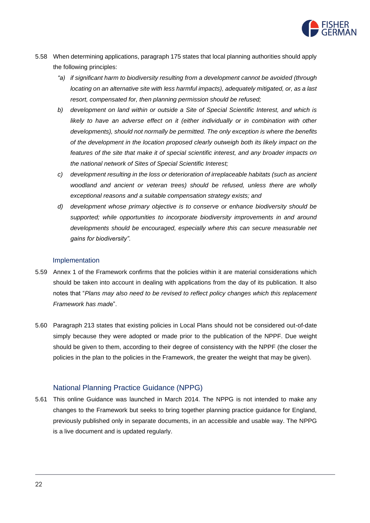

- 5.58 When determining applications, paragraph 175 states that local planning authorities should apply the following principles:
	- *"a) if significant harm to biodiversity resulting from a development cannot be avoided (through locating on an alternative site with less harmful impacts), adequately mitigated, or, as a last resort, compensated for, then planning permission should be refused;*
	- *b) development on land within or outside a Site of Special Scientific Interest, and which is*  likely to have an adverse effect on it (either individually or in combination with other *developments), should not normally be permitted. The only exception is where the benefits of the development in the location proposed clearly outweigh both its likely impact on the features of the site that make it of special scientific interest, and any broader impacts on the national network of Sites of Special Scientific Interest;*
	- *c) development resulting in the loss or deterioration of irreplaceable habitats (such as ancient woodland and ancient or veteran trees) should be refused, unless there are wholly exceptional reasons and a suitable compensation strategy exists; and*
	- *d) development whose primary objective is to conserve or enhance biodiversity should be supported; while opportunities to incorporate biodiversity improvements in and around*  developments should be encouraged, especially where this can secure measurable net *gains for biodiversity".*

#### Implementation

- 5.59 Annex 1 of the Framework confirms that the policies within it are material considerations which should be taken into account in dealing with applications from the day of its publication. It also notes that "*Plans may also need to be revised to reflect policy changes which this replacement Framework has mad*e".
- 5.60 Paragraph 213 states that existing policies in Local Plans should not be considered out-of-date simply because they were adopted or made prior to the publication of the NPPF. Due weight should be given to them, according to their degree of consistency with the NPPF (the closer the policies in the plan to the policies in the Framework, the greater the weight that may be given).

#### National Planning Practice Guidance (NPPG)

5.61 This online Guidance was launched in March 2014. The NPPG is not intended to make any changes to the Framework but seeks to bring together planning practice guidance for England, previously published only in separate documents, in an accessible and usable way. The NPPG is a live document and is updated regularly.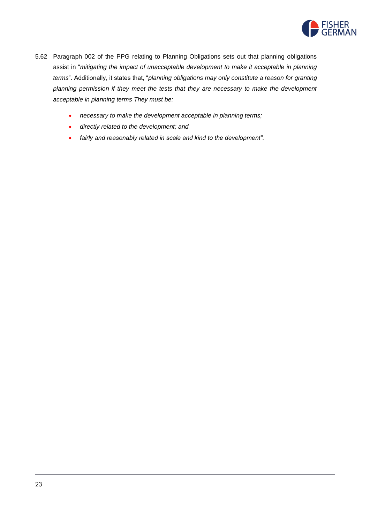

- 5.62 Paragraph 002 of the PPG relating to Planning Obligations sets out that planning obligations assist in "*mitigating the impact of unacceptable development to make it acceptable in planning terms*". Additionally, it states that, "*planning obligations may only constitute a reason for granting planning permission if they meet the tests that they are necessary to make the development acceptable in planning terms They must be:*
	- *necessary to make the development acceptable in planning terms;*
	- *directly related to the development; and*
	- *fairly and reasonably related in scale and kind to the development".*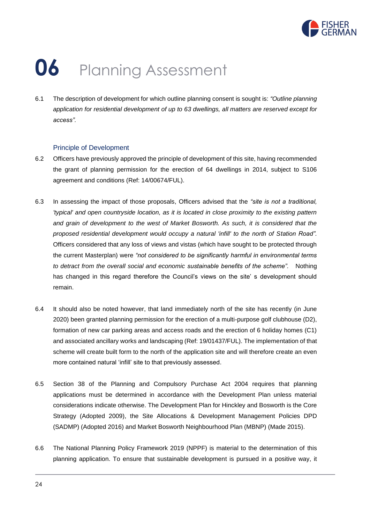

# **06** Planning Assessment

6.1 The description of development for which outline planning consent is sought is: *"Outline planning application for residential development of up to 63 dwellings, all matters are reserved except for access".*

#### Principle of Development

- 6.2 Officers have previously approved the principle of development of this site, having recommended the grant of planning permission for the erection of 64 dwellings in 2014, subject to S106 agreement and conditions (Ref: 14/00674/FUL).
- 6.3 In assessing the impact of those proposals, Officers advised that the *"site is not a traditional, 'typical' and open countryside location, as it is located in close proximity to the existing pattern and grain of development to the west of Market Bosworth. As such, it is considered that the proposed residential development would occupy a natural 'infill' to the north of Station Road".* Officers considered that any loss of views and vistas (which have sought to be protected through the current Masterplan) were *"not considered to be significantly harmful in environmental terms to detract from the overall social and economic sustainable benefits of the scheme".* Nothing has changed in this regard therefore the Council's views on the site' s development should remain.
- 6.4 It should also be noted however, that land immediately north of the site has recently (in June 2020) been granted planning permission for the erection of a multi-purpose golf clubhouse (D2), formation of new car parking areas and access roads and the erection of 6 holiday homes (C1) and associated ancillary works and landscaping (Ref: 19/01437/FUL). The implementation of that scheme will create built form to the north of the application site and will therefore create an even more contained natural 'infill' site to that previously assessed.
- 6.5 Section 38 of the Planning and Compulsory Purchase Act 2004 requires that planning applications must be determined in accordance with the Development Plan unless material considerations indicate otherwise. The Development Plan for Hinckley and Bosworth is the Core Strategy (Adopted 2009), the Site Allocations & Development Management Policies DPD (SADMP) (Adopted 2016) and Market Bosworth Neighbourhood Plan (MBNP) (Made 2015).
- 6.6 The National Planning Policy Framework 2019 (NPPF) is material to the determination of this planning application. To ensure that sustainable development is pursued in a positive way, it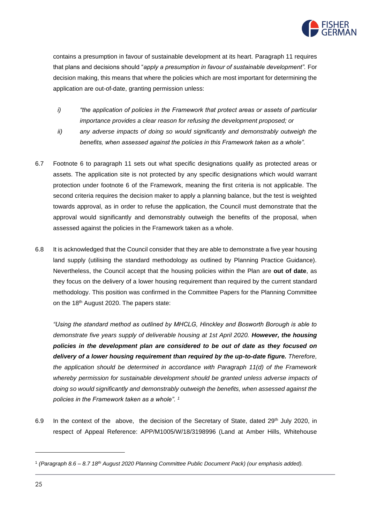

contains a presumption in favour of sustainable development at its heart. Paragraph 11 requires that plans and decisions should "*apply a presumption in favour of sustainable development".* For decision making, this means that where the policies which are most important for determining the application are out-of-date, granting permission unless:

- *i) "the application of policies in the Framework that protect areas or assets of particular importance provides a clear reason for refusing the development proposed; or*
- *ii) any adverse impacts of doing so would significantly and demonstrably outweigh the benefits, when assessed against the policies in this Framework taken as a whole".*
- 6.7 Footnote 6 to paragraph 11 sets out what specific designations qualify as protected areas or assets. The application site is not protected by any specific designations which would warrant protection under footnote 6 of the Framework, meaning the first criteria is not applicable. The second criteria requires the decision maker to apply a planning balance, but the test is weighted towards approval, as in order to refuse the application, the Council must demonstrate that the approval would significantly and demonstrably outweigh the benefits of the proposal, when assessed against the policies in the Framework taken as a whole.
- 6.8 It is acknowledged that the Council consider that they are able to demonstrate a five year housing land supply (utilising the standard methodology as outlined by Planning Practice Guidance). Nevertheless, the Council accept that the housing policies within the Plan are **out of date**, as they focus on the delivery of a lower housing requirement than required by the current standard methodology. This position was confirmed in the Committee Papers for the Planning Committee on the 18<sup>th</sup> August 2020. The papers state:

*"Using the standard method as outlined by MHCLG, Hinckley and Bosworth Borough is able to demonstrate five years supply of deliverable housing at 1st April 2020. However, the housing policies in the development plan are considered to be out of date as they focused on delivery of a lower housing requirement than required by the up-to-date figure. Therefore, the application should be determined in accordance with Paragraph 11(d) of the Framework whereby permission for sustainable development should be granted unless adverse impacts of doing so would significantly and demonstrably outweigh the benefits, when assessed against the policies in the Framework taken as a whole". 1*

6.9 In the context of the above, the decision of the Secretary of State, dated 29<sup>th</sup> July 2020, in respect of Appeal Reference: APP/M1005/W/18/3198996 (Land at Amber Hills, Whitehouse

<sup>1</sup> *(Paragraph 8.6 – 8.7 18th August 2020 Planning Committee Public Document Pack) (our emphasis added).*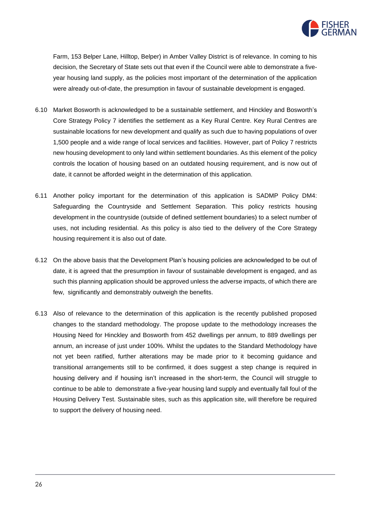

Farm, 153 Belper Lane, Hilltop, Belper) in Amber Valley District is of relevance. In coming to his decision, the Secretary of State sets out that even if the Council were able to demonstrate a fiveyear housing land supply, as the policies most important of the determination of the application were already out-of-date, the presumption in favour of sustainable development is engaged.

- 6.10 Market Bosworth is acknowledged to be a sustainable settlement, and Hinckley and Bosworth's Core Strategy Policy 7 identifies the settlement as a Key Rural Centre. Key Rural Centres are sustainable locations for new development and qualify as such due to having populations of over 1,500 people and a wide range of local services and facilities. However, part of Policy 7 restricts new housing development to only land within settlement boundaries. As this element of the policy controls the location of housing based on an outdated housing requirement, and is now out of date, it cannot be afforded weight in the determination of this application.
- 6.11 Another policy important for the determination of this application is SADMP Policy DM4: Safeguarding the Countryside and Settlement Separation. This policy restricts housing development in the countryside (outside of defined settlement boundaries) to a select number of uses, not including residential. As this policy is also tied to the delivery of the Core Strategy housing requirement it is also out of date.
- 6.12 On the above basis that the Development Plan's housing policies are acknowledged to be out of date, it is agreed that the presumption in favour of sustainable development is engaged, and as such this planning application should be approved unless the adverse impacts, of which there are few, significantly and demonstrably outweigh the benefits.
- 6.13 Also of relevance to the determination of this application is the recently published proposed changes to the standard methodology. The propose update to the methodology increases the Housing Need for Hinckley and Bosworth from 452 dwellings per annum, to 889 dwellings per annum, an increase of just under 100%. Whilst the updates to the Standard Methodology have not yet been ratified, further alterations may be made prior to it becoming guidance and transitional arrangements still to be confirmed, it does suggest a step change is required in housing delivery and if housing isn't increased in the short-term, the Council will struggle to continue to be able to demonstrate a five-year housing land supply and eventually fall foul of the Housing Delivery Test. Sustainable sites, such as this application site, will therefore be required to support the delivery of housing need.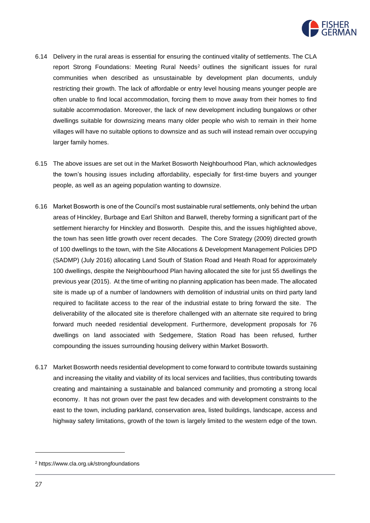

- 6.14 Delivery in the rural areas is essential for ensuring the continued vitality of settlements. The CLA report Strong Foundations: Meeting Rural Needs<sup>2</sup> outlines the significant issues for rural communities when described as unsustainable by development plan documents, unduly restricting their growth. The lack of affordable or entry level housing means younger people are often unable to find local accommodation, forcing them to move away from their homes to find suitable accommodation. Moreover, the lack of new development including bungalows or other dwellings suitable for downsizing means many older people who wish to remain in their home villages will have no suitable options to downsize and as such will instead remain over occupying larger family homes.
- 6.15 The above issues are set out in the Market Bosworth Neighbourhood Plan, which acknowledges the town's housing issues including affordability, especially for first-time buyers and younger people, as well as an ageing population wanting to downsize.
- 6.16 Market Bosworth is one of the Council's most sustainable rural settlements, only behind the urban areas of Hinckley, Burbage and Earl Shilton and Barwell, thereby forming a significant part of the settlement hierarchy for Hinckley and Bosworth. Despite this, and the issues highlighted above, the town has seen little growth over recent decades. The Core Strategy (2009) directed growth of 100 dwellings to the town, with the Site Allocations & Development Management Policies DPD (SADMP) (July 2016) allocating Land South of Station Road and Heath Road for approximately 100 dwellings, despite the Neighbourhood Plan having allocated the site for just 55 dwellings the previous year (2015). At the time of writing no planning application has been made. The allocated site is made up of a number of landowners with demolition of industrial units on third party land required to facilitate access to the rear of the industrial estate to bring forward the site. The deliverability of the allocated site is therefore challenged with an alternate site required to bring forward much needed residential development. Furthermore, development proposals for 76 dwellings on land associated with Sedgemere, Station Road has been refused, further compounding the issues surrounding housing delivery within Market Bosworth.
- 6.17 Market Bosworth needs residential development to come forward to contribute towards sustaining and increasing the vitality and viability of its local services and facilities, thus contributing towards creating and maintaining a sustainable and balanced community and promoting a strong local economy. It has not grown over the past few decades and with development constraints to the east to the town, including parkland, conservation area, listed buildings, landscape, access and highway safety limitations, growth of the town is largely limited to the western edge of the town.

<sup>2</sup> https://www.cla.org.uk/strongfoundations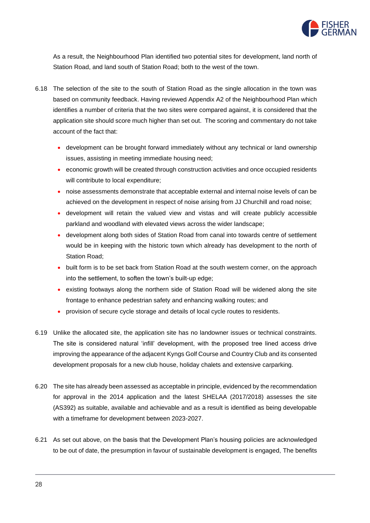

As a result, the Neighbourhood Plan identified two potential sites for development, land north of Station Road, and land south of Station Road; both to the west of the town.

- 6.18 The selection of the site to the south of Station Road as the single allocation in the town was based on community feedback. Having reviewed Appendix A2 of the Neighbourhood Plan which identifies a number of criteria that the two sites were compared against, it is considered that the application site should score much higher than set out. The scoring and commentary do not take account of the fact that:
	- development can be brought forward immediately without any technical or land ownership issues, assisting in meeting immediate housing need;
	- economic growth will be created through construction activities and once occupied residents will contribute to local expenditure;
	- noise assessments demonstrate that acceptable external and internal noise levels of can be achieved on the development in respect of noise arising from JJ Churchill and road noise;
	- development will retain the valued view and vistas and will create publicly accessible parkland and woodland with elevated views across the wider landscape;
	- development along both sides of Station Road from canal into towards centre of settlement would be in keeping with the historic town which already has development to the north of Station Road;
	- built form is to be set back from Station Road at the south western corner, on the approach into the settlement, to soften the town's built-up edge;
	- existing footways along the northern side of Station Road will be widened along the site frontage to enhance pedestrian safety and enhancing walking routes; and
	- provision of secure cycle storage and details of local cycle routes to residents.
- 6.19 Unlike the allocated site, the application site has no landowner issues or technical constraints. The site is considered natural 'infill' development, with the proposed tree lined access drive improving the appearance of the adjacent Kyngs Golf Course and Country Club and its consented development proposals for a new club house, holiday chalets and extensive carparking.
- 6.20 The site has already been assessed as acceptable in principle, evidenced by the recommendation for approval in the 2014 application and the latest SHELAA (2017/2018) assesses the site (AS392) as suitable, available and achievable and as a result is identified as being developable with a timeframe for development between 2023-2027.
- 6.21 As set out above, on the basis that the Development Plan's housing policies are acknowledged to be out of date, the presumption in favour of sustainable development is engaged, The benefits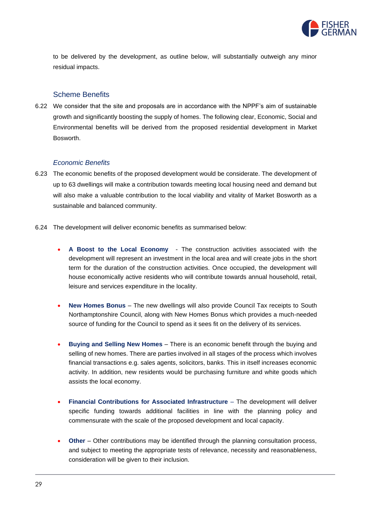

to be delivered by the development, as outline below, will substantially outweigh any minor residual impacts.

#### Scheme Benefits

6.22 We consider that the site and proposals are in accordance with the NPPF's aim of sustainable growth and significantly boosting the supply of homes. The following clear, Economic, Social and Environmental benefits will be derived from the proposed residential development in Market Bosworth.

#### *Economic Benefits*

- 6.23 The economic benefits of the proposed development would be considerate. The development of up to 63 dwellings will make a contribution towards meeting local housing need and demand but will also make a valuable contribution to the local viability and vitality of Market Bosworth as a sustainable and balanced community.
- 6.24 The development will deliver economic benefits as summarised below:
	- **A Boost to the Local Economy**  The construction activities associated with the development will represent an investment in the local area and will create jobs in the short term for the duration of the construction activities. Once occupied, the development will house economically active residents who will contribute towards annual household, retail, leisure and services expenditure in the locality.
	- **New Homes Bonus** The new dwellings will also provide Council Tax receipts to South Northamptonshire Council, along with New Homes Bonus which provides a much-needed source of funding for the Council to spend as it sees fit on the delivery of its services.
	- **Buying and Selling New Homes**  There is an economic benefit through the buying and selling of new homes. There are parties involved in all stages of the process which involves financial transactions e.g. sales agents, solicitors, banks. This in itself increases economic activity. In addition, new residents would be purchasing furniture and white goods which assists the local economy.
	- **Financial Contributions for Associated Infrastructure**  The development will deliver specific funding towards additional facilities in line with the planning policy and commensurate with the scale of the proposed development and local capacity.
	- **Other**  Other contributions may be identified through the planning consultation process, and subject to meeting the appropriate tests of relevance, necessity and reasonableness, consideration will be given to their inclusion.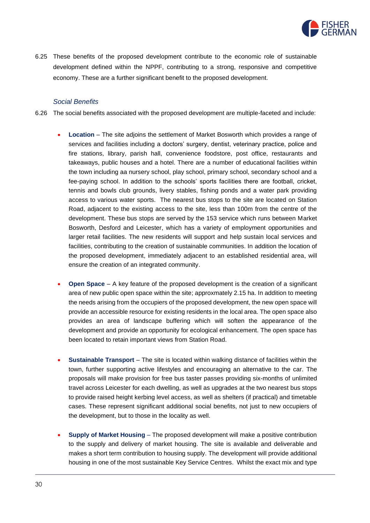

6.25 These benefits of the proposed development contribute to the economic role of sustainable development defined within the NPPF, contributing to a strong, responsive and competitive economy. These are a further significant benefit to the proposed development.

#### *Social Benefits*

- 6.26 The social benefits associated with the proposed development are multiple-faceted and include:
	- **Location** The site adjoins the settlement of Market Bosworth which provides a range of services and facilities including a doctors' surgery, dentist, veterinary practice, police and fire stations, library, parish hall, convenience foodstore, post office, restaurants and takeaways, public houses and a hotel. There are a number of educational facilities within the town including aa nursery school, play school, primary school, secondary school and a fee-paying school. In addition to the schools' sports facilities there are football, cricket, tennis and bowls club grounds, livery stables, fishing ponds and a water park providing access to various water sports. The nearest bus stops to the site are located on Station Road, adjacent to the existing access to the site, less than 100m from the centre of the development. These bus stops are served by the 153 service which runs between Market Bosworth, Desford and Leicester, which has a variety of employment opportunities and larger retail facilities. The new residents will support and help sustain local services and facilities, contributing to the creation of sustainable communities. In addition the location of the proposed development, immediately adjacent to an established residential area, will ensure the creation of an integrated community.
	- **Open Space**  A key feature of the proposed development is the creation of a significant area of new public open space within the site; approxmately 2.15 ha. In addition to meeting the needs arising from the occupiers of the proposed development, the new open space will provide an accessible resource for existing residents in the local area. The open space also provides an area of landscape buffering which will soften the appearance of the development and provide an opportunity for ecological enhancement. The open space has been located to retain important views from Station Road.
	- **Sustainable Transport**  The site is located within walking distance of facilities within the town, further supporting active lifestyles and encouraging an alternative to the car. The proposals will make provision for free bus taster passes providing six-months of unlimited travel across Leicester for each dwelling, as well as upgrades at the two nearest bus stops to provide raised height kerbing level access, as well as shelters (if practical) and timetable cases. These represent significant additional social benefits, not just to new occupiers of the development, but to those in the locality as well.
	- **Supply of Market Housing** The proposed development will make a positive contribution to the supply and delivery of market housing. The site is available and deliverable and makes a short term contribution to housing supply. The development will provide additional housing in one of the most sustainable Key Service Centres. Whilst the exact mix and type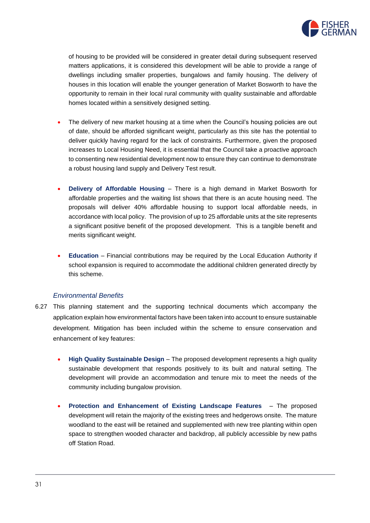

of housing to be provided will be considered in greater detail during subsequent reserved matters applications, it is considered this development will be able to provide a range of dwellings including smaller properties, bungalows and family housing. The delivery of houses in this location will enable the younger generation of Market Bosworth to have the opportunity to remain in their local rural community with quality sustainable and affordable homes located within a sensitively designed setting.

- The delivery of new market housing at a time when the Council's housing policies are out of date, should be afforded significant weight, particularly as this site has the potential to deliver quickly having regard for the lack of constraints. Furthermore, given the proposed increases to Local Housing Need, it is essential that the Council take a proactive approach to consenting new residential development now to ensure they can continue to demonstrate a robust housing land supply and Delivery Test result.
- **Delivery of Affordable Housing** There is a high demand in Market Bosworth for affordable properties and the waiting list shows that there is an acute housing need. The proposals will deliver 40% affordable housing to support local affordable needs, in accordance with local policy. The provision of up to 25 affordable units at the site represents a significant positive benefit of the proposed development. This is a tangible benefit and merits significant weight.
- **Education**  Financial contributions may be required by the Local Education Authority if school expansion is required to accommodate the additional children generated directly by this scheme.

#### *Environmental Benefits*

- 6.27 This planning statement and the supporting technical documents which accompany the application explain how environmental factors have been taken into account to ensure sustainable development. Mitigation has been included within the scheme to ensure conservation and enhancement of key features:
	- **High Quality Sustainable Design**  The proposed development represents a high quality sustainable development that responds positively to its built and natural setting. The development will provide an accommodation and tenure mix to meet the needs of the community including bungalow provision.
	- **Protection and Enhancement of Existing Landscape Features**  The proposed development will retain the majority of the existing trees and hedgerows onsite. The mature woodland to the east will be retained and supplemented with new tree planting within open space to strengthen wooded character and backdrop, all publicly accessible by new paths off Station Road.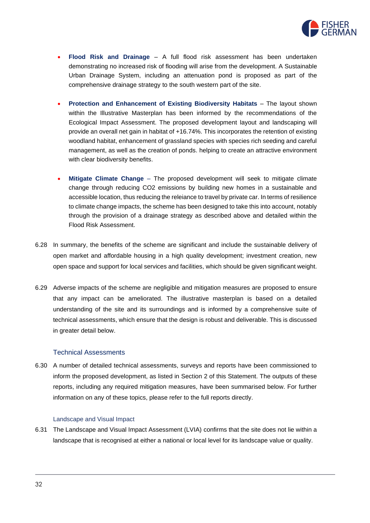

- **Flood Risk and Drainage**  A full flood risk assessment has been undertaken demonstrating no increased risk of flooding will arise from the development. A Sustainable Urban Drainage System, including an attenuation pond is proposed as part of the comprehensive drainage strategy to the south western part of the site.
- **Protection and Enhancement of Existing Biodiversity Habitats**  The layout shown within the Illustrative Masterplan has been informed by the recommendations of the Ecological Impact Assessment. The proposed development layout and landscaping will provide an overall net gain in habitat of +16.74%. This incorporates the retention of existing woodland habitat, enhancement of grassland species with species rich seeding and careful management, as well as the creation of ponds. helping to create an attractive environment with clear biodiversity benefits.
- **Mitigate Climate Change** The proposed development will seek to mitigate climate change through reducing CO2 emissions by building new homes in a sustainable and accessible location, thus reducing the releiance to travel by private car. In terms of resilience to climate change impacts, the scheme has been designed to take this into account, notably through the provision of a drainage strategy as described above and detailed within the Flood Risk Assessment.
- 6.28 In summary, the benefits of the scheme are significant and include the sustainable delivery of open market and affordable housing in a high quality development; investment creation, new open space and support for local services and facilities, which should be given significant weight.
- 6.29 Adverse impacts of the scheme are negligible and mitigation measures are proposed to ensure that any impact can be ameliorated. The illustrative masterplan is based on a detailed understanding of the site and its surroundings and is informed by a comprehensive suite of technical assessments, which ensure that the design is robust and deliverable. This is discussed in greater detail below.

#### Technical Assessments

6.30 A number of detailed technical assessments, surveys and reports have been commissioned to inform the proposed development, as listed in Section 2 of this Statement. The outputs of these reports, including any required mitigation measures, have been summarised below. For further information on any of these topics, please refer to the full reports directly.

#### Landscape and Visual Impact

6.31 The Landscape and Visual Impact Assessment (LVIA) confirms that the site does not lie within a landscape that is recognised at either a national or local level for its landscape value or quality.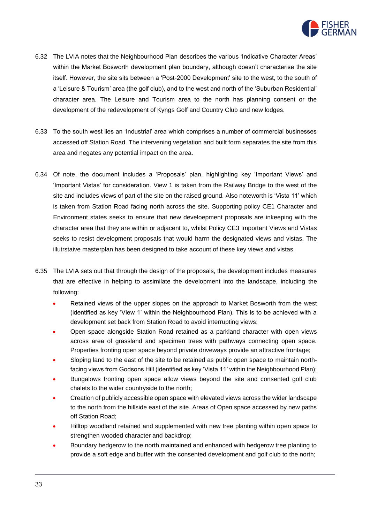

- 6.32 The LVIA notes that the Neighbourhood Plan describes the various 'Indicative Character Areas' within the Market Bosworth development plan boundary, although doesn't characterise the site itself. However, the site sits between a 'Post-2000 Development' site to the west, to the south of a 'Leisure & Tourism' area (the golf club), and to the west and north of the 'Suburban Residential' character area. The Leisure and Tourism area to the north has planning consent or the development of the redevelopment of Kyngs Golf and Country Club and new lodges.
- 6.33 To the south west lies an 'Industrial' area which comprises a number of commercial businesses accessed off Station Road. The intervening vegetation and built form separates the site from this area and negates any potential impact on the area.
- 6.34 Of note, the document includes a 'Proposals' plan, highlighting key 'Important Views' and 'Important Vistas' for consideration. View 1 is taken from the Railway Bridge to the west of the site and includes views of part of the site on the raised ground. Also noteworth is 'Vista 11' which is taken from Station Road facing north across the site. Supporting policy CE1 Character and Environment states seeks to ensure that new develoepment proposals are inkeeping with the character area that they are within or adjacent to, whilst Policy CE3 Important Views and Vistas seeks to resist development proposals that would harrn the designated views and vistas. The illutrstaive masterplan has been designed to take account of these key views and vistas.
- 6.35 The LVIA sets out that through the design of the proposals, the development includes measures that are effective in helping to assimilate the development into the landscape, including the following:
	- Retained views of the upper slopes on the approach to Market Bosworth from the west (identified as key 'View 1' within the Neighbourhood Plan). This is to be achieved with a development set back from Station Road to avoid interrupting views;
	- Open space alongside Station Road retained as a parkland character with open views across area of grassland and specimen trees with pathways connecting open space. Properties fronting open space beyond private driveways provide an attractive frontage;
	- Sloping land to the east of the site to be retained as public open space to maintain northfacing views from Godsons Hill (identified as key 'Vista 11' within the Neighbourhood Plan);
	- Bungalows fronting open space allow views beyond the site and consented golf club chalets to the wider countryside to the north;
	- Creation of publicly accessible open space with elevated views across the wider landscape to the north from the hillside east of the site. Areas of Open space accessed by new paths off Station Road;
	- Hilltop woodland retained and supplemented with new tree planting within open space to strengthen wooded character and backdrop;
	- Boundary hedgerow to the north maintained and enhanced with hedgerow tree planting to provide a soft edge and buffer with the consented development and golf club to the north;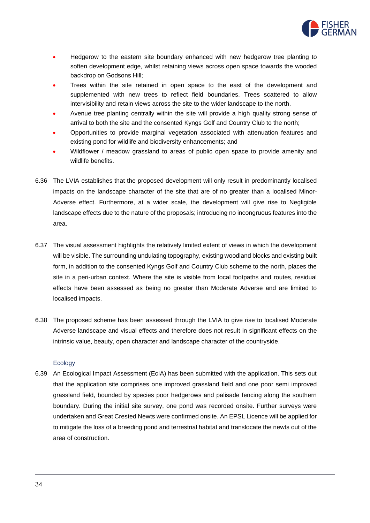

- Hedgerow to the eastern site boundary enhanced with new hedgerow tree planting to soften development edge, whilst retaining views across open space towards the wooded backdrop on Godsons Hill;
- Trees within the site retained in open space to the east of the development and supplemented with new trees to reflect field boundaries. Trees scattered to allow intervisibility and retain views across the site to the wider landscape to the north.
- Avenue tree planting centrally within the site will provide a high quality strong sense of arrival to both the site and the consented Kyngs Golf and Country Club to the north;
- Opportunities to provide marginal vegetation associated with attenuation features and existing pond for wildlife and biodiversity enhancements; and
- Wildflower / meadow grassland to areas of public open space to provide amenity and wildlife benefits.
- 6.36 The LVIA establishes that the proposed development will only result in predominantly localised impacts on the landscape character of the site that are of no greater than a localised Minor-Adverse effect. Furthermore, at a wider scale, the development will give rise to Negligible landscape effects due to the nature of the proposals; introducing no incongruous features into the area.
- 6.37 The visual assessment highlights the relatively limited extent of views in which the development will be visible. The surrounding undulating topography, existing woodland blocks and existing built form, in addition to the consented Kyngs Golf and Country Club scheme to the north, places the site in a peri-urban context. Where the site is visible from local footpaths and routes, residual effects have been assessed as being no greater than Moderate Adverse and are limited to localised impacts.
- 6.38 The proposed scheme has been assessed through the LVIA to give rise to localised Moderate Adverse landscape and visual effects and therefore does not result in significant effects on the intrinsic value, beauty, open character and landscape character of the countryside.

#### **Ecology**

6.39 An Ecological Impact Assessment (EcIA) has been submitted with the application. This sets out that the application site comprises one improved grassland field and one poor semi improved grassland field, bounded by species poor hedgerows and palisade fencing along the southern boundary. During the initial site survey, one pond was recorded onsite. Further surveys were undertaken and Great Crested Newts were confirmed onsite. An EPSL Licence will be applied for to mitigate the loss of a breeding pond and terrestrial habitat and translocate the newts out of the area of construction.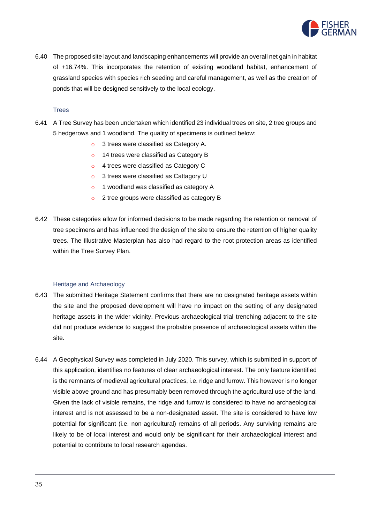

6.40 The proposed site layout and landscaping enhancements will provide an overall net gain in habitat of +16.74%. This incorporates the retention of existing woodland habitat, enhancement of grassland species with species rich seeding and careful management, as well as the creation of ponds that will be designed sensitively to the local ecology.

## **Trees**

- 6.41 A Tree Survey has been undertaken which identified 23 individual trees on site, 2 tree groups and 5 hedgerows and 1 woodland. The quality of specimens is outlined below:
	- o 3 trees were classified as Category A.
	- o 14 trees were classified as Category B
	- o 4 trees were classified as Category C
	- o 3 trees were classified as Cattagory U
	- o 1 woodland was classified as category A
	- o 2 tree groups were classified as category B
- 6.42 These categories allow for informed decisions to be made regarding the retention or removal of tree specimens and has influenced the design of the site to ensure the retention of higher quality trees. The Illustrative Masterplan has also had regard to the root protection areas as identified within the Tree Survey Plan.

## Heritage and Archaeology

- 6.43 The submitted Heritage Statement confirms that there are no designated heritage assets within the site and the proposed development will have no impact on the setting of any designated heritage assets in the wider vicinity. Previous archaeological trial trenching adjacent to the site did not produce evidence to suggest the probable presence of archaeological assets within the site.
- 6.44 A Geophysical Survey was completed in July 2020. This survey, which is submitted in support of this application, identifies no features of clear archaeological interest. The only feature identified is the remnants of medieval agricultural practices, i.e. ridge and furrow. This however is no longer visible above ground and has presumably been removed through the agricultural use of the land. Given the lack of visible remains, the ridge and furrow is considered to have no archaeological interest and is not assessed to be a non-designated asset. The site is considered to have low potential for significant (i.e. non-agricultural) remains of all periods. Any surviving remains are likely to be of local interest and would only be significant for their archaeological interest and potential to contribute to local research agendas.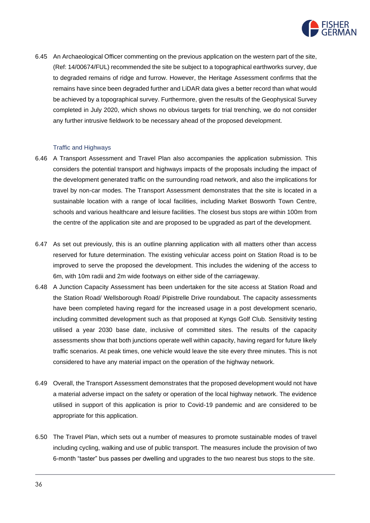

6.45 An Archaeological Officer commenting on the previous application on the western part of the site, (Ref: 14/00674/FUL) recommended the site be subject to a topographical earthworks survey, due to degraded remains of ridge and furrow. However, the Heritage Assessment confirms that the remains have since been degraded further and LiDAR data gives a better record than what would be achieved by a topographical survey. Furthermore, given the results of the Geophysical Survey completed in July 2020, which shows no obvious targets for trial trenching, we do not consider any further intrusive fieldwork to be necessary ahead of the proposed development.

#### Traffic and Highways

- 6.46 A Transport Assessment and Travel Plan also accompanies the application submission. This considers the potential transport and highways impacts of the proposals including the impact of the development generated traffic on the surrounding road network, and also the implications for travel by non-car modes. The Transport Assessment demonstrates that the site is located in a sustainable location with a range of local facilities, including Market Bosworth Town Centre, schools and various healthcare and leisure facilities. The closest bus stops are within 100m from the centre of the application site and are proposed to be upgraded as part of the development.
- 6.47 As set out previously, this is an outline planning application with all matters other than access reserved for future determination. The existing vehicular access point on Station Road is to be improved to serve the proposed the development. This includes the widening of the access to 6m, with 10m radii and 2m wide footways on either side of the carriageway.
- 6.48 A Junction Capacity Assessment has been undertaken for the site access at Station Road and the Station Road/ Wellsborough Road/ Pipistrelle Drive roundabout. The capacity assessments have been completed having regard for the increased usage in a post development scenario, including committed development such as that proposed at Kyngs Golf Club. Sensitivity testing utilised a year 2030 base date, inclusive of committed sites. The results of the capacity assessments show that both junctions operate well within capacity, having regard for future likely traffic scenarios. At peak times, one vehicle would leave the site every three minutes. This is not considered to have any material impact on the operation of the highway network.
- 6.49 Overall, the Transport Assessment demonstrates that the proposed development would not have a material adverse impact on the safety or operation of the local highway network. The evidence utilised in support of this application is prior to Covid-19 pandemic and are considered to be appropriate for this application.
- 6.50 The Travel Plan, which sets out a number of measures to promote sustainable modes of travel including cycling, walking and use of public transport. The measures include the provision of two 6-month "taster" bus passes per dwelling and upgrades to the two nearest bus stops to the site.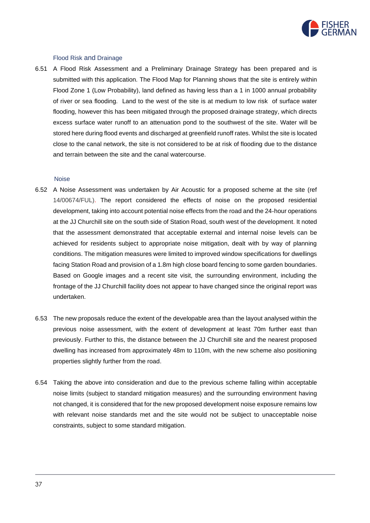

#### Flood Risk and Drainage

6.51 A Flood Risk Assessment and a Preliminary Drainage Strategy has been prepared and is submitted with this application. The Flood Map for Planning shows that the site is entirely within Flood Zone 1 (Low Probability), land defined as having less than a 1 in 1000 annual probability of river or sea flooding. Land to the west of the site is at medium to low risk of surface water flooding, however this has been mitigated through the proposed drainage strategy, which directs excess surface water runoff to an attenuation pond to the southwest of the site. Water will be stored here during flood events and discharged at greenfield runoff rates. Whilst the site is located close to the canal network, the site is not considered to be at risk of flooding due to the distance and terrain between the site and the canal watercourse.

#### Noise

- 6.52 A Noise Assessment was undertaken by Air Acoustic for a proposed scheme at the site (ref 14/00674/FUL). The report considered the effects of noise on the proposed residential development, taking into account potential noise effects from the road and the 24‐hour operations at the JJ Churchill site on the south side of Station Road, south west of the development. It noted that the assessment demonstrated that acceptable external and internal noise levels can be achieved for residents subject to appropriate noise mitigation, dealt with by way of planning conditions. The mitigation measures were limited to improved window specifications for dwellings facing Station Road and provision of a 1.8m high close board fencing to some garden boundaries. Based on Google images and a recent site visit, the surrounding environment, including the frontage of the JJ Churchill facility does not appear to have changed since the original report was undertaken.
- 6.53 The new proposals reduce the extent of the developable area than the layout analysed within the previous noise assessment, with the extent of development at least 70m further east than previously. Further to this, the distance between the JJ Churchill site and the nearest proposed dwelling has increased from approximately 48m to 110m, with the new scheme also positioning properties slightly further from the road.
- 6.54 Taking the above into consideration and due to the previous scheme falling within acceptable noise limits (subject to standard mitigation measures) and the surrounding environment having not changed, it is considered that for the new proposed development noise exposure remains low with relevant noise standards met and the site would not be subject to unacceptable noise constraints, subject to some standard mitigation.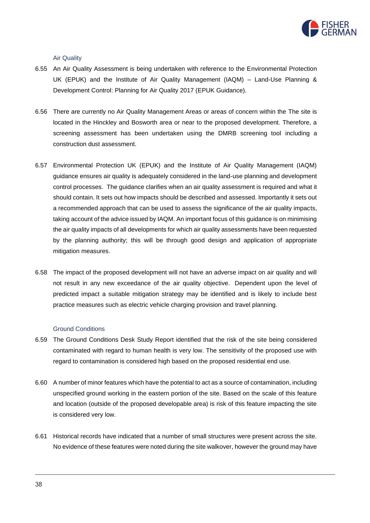

Air Quality

- 6.55 An Air Quality Assessment is being undertaken with reference to the Environmental Protection UK (EPUK) and the Institute of Air Quality Management (IAQM) – Land-Use Planning & Development Control: Planning for Air Quality 2017 (EPUK Guidance).
- 6.56 There are currently no Air Quality Management Areas or areas of concern within the The site is located in the Hinckley and Bosworth area or near to the proposed development. Therefore, a screening assessment has been undertaken using the DMRB screening tool including a construction dust assessment.
- 6.57 Environmental Protection UK (EPUK) and the Institute of Air Quality Management (IAQM) guidance ensures air quality is adequately considered in the land-use planning and development control processes. The guidance clarifies when an air quality assessment is required and what it should contain. It sets out how impacts should be described and assessed. Importantly it sets out a recommended approach that can be used to assess the significance of the air quality impacts, taking account of the advice issued by IAQM. An important focus of this guidance is on minimising the air quality impacts of all developments for which air quality assessments have been requested by the planning authority; this will be through good design and application of appropriate mitigation measures.
- 6.58 The impact of the proposed development will not have an adverse impact on air quality and will not result in any new exceedance of the air quality objective. Dependent upon the level of predicted impact a suitable mitigation strategy may be identified and is likely to include best practice measures such as electric vehicle charging provision and travel planning.

#### Ground Conditions

- 6.59 The Ground Conditions Desk Study Report identified that the risk of the site being considered contaminated with regard to human health is very low. The sensitivity of the proposed use with regard to contamination is considered high based on the proposed residential end use.
- 6.60 A number of minor features which have the potential to act as a source of contamination, including unspecified ground working in the eastern portion of the site. Based on the scale of this feature and location (outside of the proposed developable area) is risk of this feature impacting the site is considered very low.
- 6.61 Historical records have indicated that a number of small structures were present across the site. No evidence of these features were noted during the site walkover, however the ground may have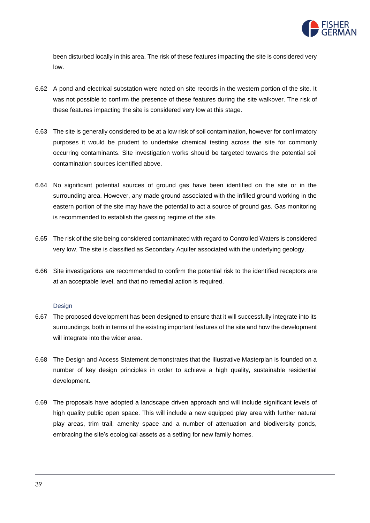

been disturbed locally in this area. The risk of these features impacting the site is considered very low.

- 6.62 A pond and electrical substation were noted on site records in the western portion of the site. It was not possible to confirm the presence of these features during the site walkover. The risk of these features impacting the site is considered very low at this stage.
- 6.63 The site is generally considered to be at a low risk of soil contamination, however for confirmatory purposes it would be prudent to undertake chemical testing across the site for commonly occurring contaminants. Site investigation works should be targeted towards the potential soil contamination sources identified above.
- 6.64 No significant potential sources of ground gas have been identified on the site or in the surrounding area. However, any made ground associated with the infilled ground working in the eastern portion of the site may have the potential to act a source of ground gas. Gas monitoring is recommended to establish the gassing regime of the site.
- 6.65 The risk of the site being considered contaminated with regard to Controlled Waters is considered very low. The site is classified as Secondary Aquifer associated with the underlying geology.
- 6.66 Site investigations are recommended to confirm the potential risk to the identified receptors are at an acceptable level, and that no remedial action is required.

#### Design

- 6.67 The proposed development has been designed to ensure that it will successfully integrate into its surroundings, both in terms of the existing important features of the site and how the development will integrate into the wider area.
- 6.68 The Design and Access Statement demonstrates that the Illustrative Masterplan is founded on a number of key design principles in order to achieve a high quality, sustainable residential development.
- 6.69 The proposals have adopted a landscape driven approach and will include significant levels of high quality public open space. This will include a new equipped play area with further natural play areas, trim trail, amenity space and a number of attenuation and biodiversity ponds, embracing the site's ecological assets as a setting for new family homes.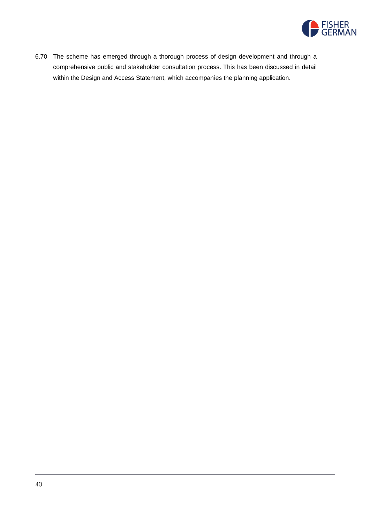

6.70 The scheme has emerged through a thorough process of design development and through a comprehensive public and stakeholder consultation process. This has been discussed in detail within the Design and Access Statement, which accompanies the planning application.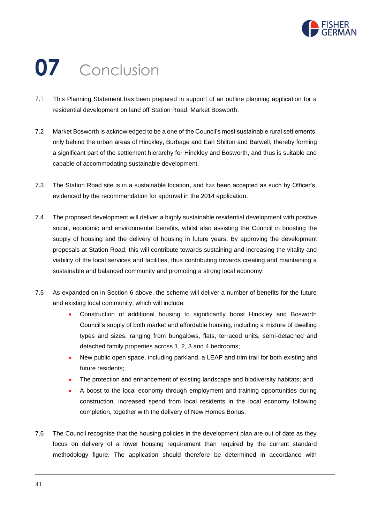

# **07** Conclusion

- 7.1 This Planning Statement has been prepared in support of an outline planning application for a residential development on land off Station Road, Market Bosworth.
- 7.2 Market Bosworth is acknowledged to be a one of the Council's most sustainable rural settlements, only behind the urban areas of Hinckley, Burbage and Earl Shilton and Barwell, thereby forming a significant part of the settlement hierarchy for Hinckley and Bosworth, and thus is suitable and capable of accommodating sustainable development.
- 7.3 The Station Road site is in a sustainable location, and has been accepted as such by Officer's, evidenced by the recommendation for approval in the 2014 application.
- 7.4 The proposed development will deliver a highly sustainable residential development with positive social, economic and environmental benefits, whilst also assisting the Council in boosting the supply of housing and the delivery of housing in future years. By approving the development proposals at Station Road, this will contribute towards sustaining and increasing the vitality and viability of the local services and facilities, thus contributing towards creating and maintaining a sustainable and balanced community and promoting a strong local economy.
- 7.5 As expanded on in Section 6 above, the scheme will deliver a number of benefits for the future and existing local community, which will include:
	- Construction of additional housing to significantly boost Hinckley and Bosworth Council's supply of both market and affordable housing, including a mixture of dwelling types and sizes, ranging from bungalows, flats, terraced units, semi-detached and detached family properties across 1, 2, 3 and 4 bedrooms;
	- New public open space, including parkland, a LEAP and trim trail for both existing and future residents;
	- The protection and enhancement of existing landscape and biodiversity habitats; and
	- A boost to the local economy through employment and training opportunities during construction, increased spend from local residents in the local economy following completion, together with the delivery of New Homes Bonus.
- 7.6 The Council recognise that the housing policies in the development plan are out of date as they focus on delivery of a lower housing requirement than required by the current standard methodology figure. The application should therefore be determined in accordance with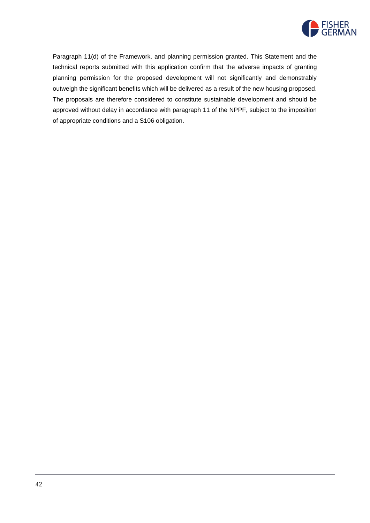

Paragraph 11(d) of the Framework. and planning permission granted. This Statement and the technical reports submitted with this application confirm that the adverse impacts of granting planning permission for the proposed development will not significantly and demonstrably outweigh the significant benefits which will be delivered as a result of the new housing proposed. The proposals are therefore considered to constitute sustainable development and should be approved without delay in accordance with paragraph 11 of the NPPF, subject to the imposition of appropriate conditions and a S106 obligation.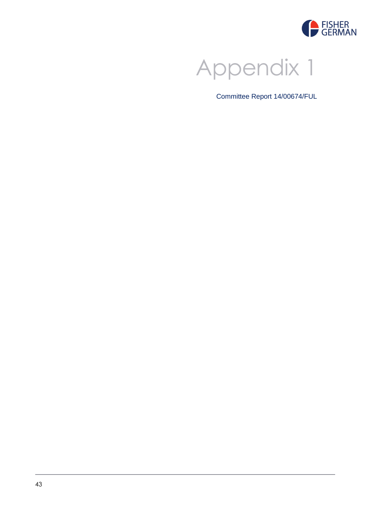



Committee Report 14/00674/FUL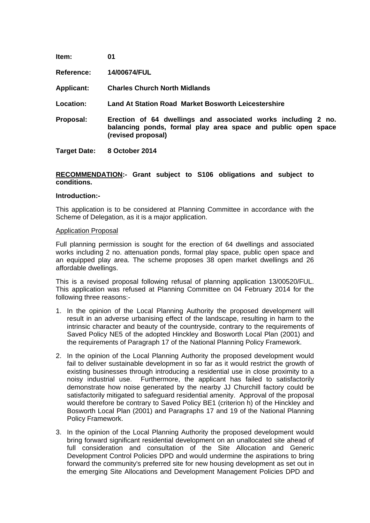| Item:               | 01                                                                                                                                                   |
|---------------------|------------------------------------------------------------------------------------------------------------------------------------------------------|
| <b>Reference:</b>   | 14/00674/FUL                                                                                                                                         |
| <b>Applicant:</b>   | <b>Charles Church North Midlands</b>                                                                                                                 |
| Location:           | Land At Station Road Market Bosworth Leicestershire                                                                                                  |
| Proposal:           | Erection of 64 dwellings and associated works including 2 no.<br>balancing ponds, formal play area space and public open space<br>(revised proposal) |
| <b>Target Date:</b> | 8 October 2014                                                                                                                                       |

## **RECOMMENDATION:- Grant subject to S106 obligations and subject to conditions.**

#### **Introduction:-**

This application is to be considered at Planning Committee in accordance with the Scheme of Delegation, as it is a major application.

#### Application Proposal

Full planning permission is sought for the erection of 64 dwellings and associated works including 2 no. attenuation ponds, formal play space, public open space and an equipped play area. The scheme proposes 38 open market dwellings and 26 affordable dwellings.

This is a revised proposal following refusal of planning application 13/00520/FUL. This application was refused at Planning Committee on 04 February 2014 for the following three reasons:-

- 1. In the opinion of the Local Planning Authority the proposed development will result in an adverse urbanising effect of the landscape, resulting in harm to the intrinsic character and beauty of the countryside, contrary to the requirements of Saved Policy NE5 of the adopted Hinckley and Bosworth Local Plan (2001) and the requirements of Paragraph 17 of the National Planning Policy Framework.
- 2. In the opinion of the Local Planning Authority the proposed development would fail to deliver sustainable development in so far as it would restrict the growth of existing businesses through introducing a residential use in close proximity to a noisy industrial use. Furthermore, the applicant has failed to satisfactorily demonstrate how noise generated by the nearby JJ Churchill factory could be satisfactorily mitigated to safeguard residential amenity. Approval of the proposal would therefore be contrary to Saved Policy BE1 (criterion h) of the Hinckley and Bosworth Local Plan (2001) and Paragraphs 17 and 19 of the National Planning Policy Framework.
- 3. In the opinion of the Local Planning Authority the proposed development would bring forward significant residential development on an unallocated site ahead of full consideration and consultation of the Site Allocation and Generic Development Control Policies DPD and would undermine the aspirations to bring forward the community's preferred site for new housing development as set out in the emerging Site Allocations and Development Management Policies DPD and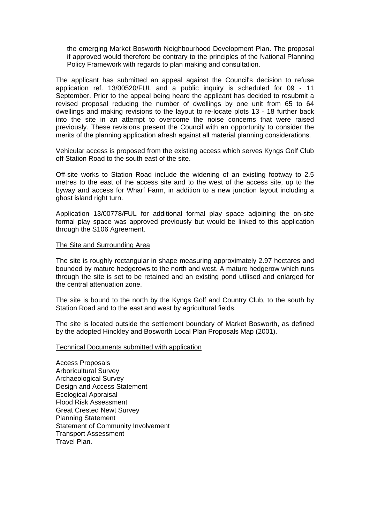the emerging Market Bosworth Neighbourhood Development Plan. The proposal if approved would therefore be contrary to the principles of the National Planning Policy Framework with regards to plan making and consultation.

The applicant has submitted an appeal against the Council's decision to refuse application ref. 13/00520/FUL and a public inquiry is scheduled for 09 - 11 September. Prior to the appeal being heard the applicant has decided to resubmit a revised proposal reducing the number of dwellings by one unit from 65 to 64 dwellings and making revisions to the layout to re-locate plots 13 - 18 further back into the site in an attempt to overcome the noise concerns that were raised previously. These revisions present the Council with an opportunity to consider the merits of the planning application afresh against all material planning considerations.

Vehicular access is proposed from the existing access which serves Kyngs Golf Club off Station Road to the south east of the site.

Off-site works to Station Road include the widening of an existing footway to 2.5 metres to the east of the access site and to the west of the access site, up to the byway and access for Wharf Farm, in addition to a new junction layout including a ghost island right turn.

Application 13/00778/FUL for additional formal play space adjoining the on-site formal play space was approved previously but would be linked to this application through the S106 Agreement.

#### The Site and Surrounding Area

The site is roughly rectangular in shape measuring approximately 2.97 hectares and bounded by mature hedgerows to the north and west. A mature hedgerow which runs through the site is set to be retained and an existing pond utilised and enlarged for the central attenuation zone.

The site is bound to the north by the Kyngs Golf and Country Club, to the south by Station Road and to the east and west by agricultural fields.

The site is located outside the settlement boundary of Market Bosworth, as defined by the adopted Hinckley and Bosworth Local Plan Proposals Map (2001).

#### Technical Documents submitted with application

Access Proposals Arboricultural Survey Archaeological Survey Design and Access Statement Ecological Appraisal Flood Risk Assessment Great Crested Newt Survey Planning Statement Statement of Community Involvement Transport Assessment Travel Plan.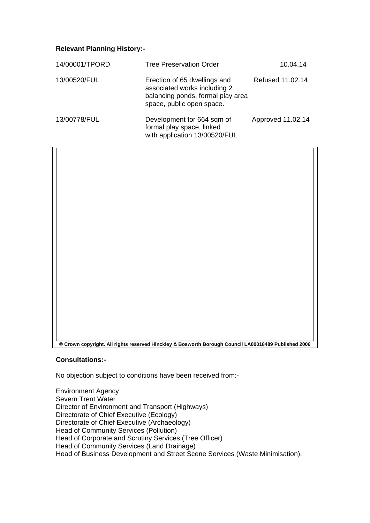# **Relevant Planning History:-**

 $\overline{\Box}$ 

| 14/00001/TPORD | <b>Tree Preservation Order</b>                                                                                                 | 10.04.14          |
|----------------|--------------------------------------------------------------------------------------------------------------------------------|-------------------|
| 13/00520/FUL   | Erection of 65 dwellings and<br>associated works including 2<br>balancing ponds, formal play area<br>space, public open space. | Refused 11.02.14  |
| 13/00778/FUL   | Development for 664 sqm of<br>formal play space, linked<br>with application 13/00520/FUL                                       | Approved 11.02.14 |

| © Crown copyright. All rights reserved Hinckley & Bosworth Borough Council LA00018489 Published 2006 |
|------------------------------------------------------------------------------------------------------|

## **Consultations:-**

No objection subject to conditions have been received from:-

Environment Agency Severn Trent Water Director of Environment and Transport (Highways) Directorate of Chief Executive (Ecology) Directorate of Chief Executive (Archaeology) Head of Community Services (Pollution) Head of Corporate and Scrutiny Services (Tree Officer) Head of Community Services (Land Drainage) Head of Business Development and Street Scene Services (Waste Minimisation).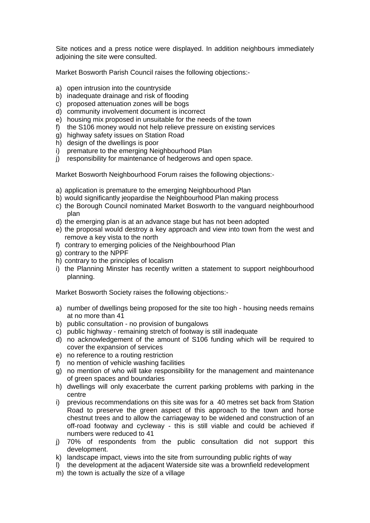Site notices and a press notice were displayed. In addition neighbours immediately adjoining the site were consulted.

Market Bosworth Parish Council raises the following objections:-

- a) open intrusion into the countryside
- b) inadequate drainage and risk of flooding
- c) proposed attenuation zones will be bogs
- d) community involvement document is incorrect
- e) housing mix proposed in unsuitable for the needs of the town
- f) the S106 money would not help relieve pressure on existing services
- g) highway safety issues on Station Road
- h) design of the dwellings is poor
- i) premature to the emerging Neighbourhood Plan
- j) responsibility for maintenance of hedgerows and open space.

Market Bosworth Neighbourhood Forum raises the following objections:-

- a) application is premature to the emerging Neighbourhood Plan
- b) would significantly jeopardise the Neighbourhood Plan making process
- c) the Borough Council nominated Market Bosworth to the vanguard neighbourhood plan
- d) the emerging plan is at an advance stage but has not been adopted
- e) the proposal would destroy a key approach and view into town from the west and remove a key vista to the north
- f) contrary to emerging policies of the Neighbourhood Plan
- g) contrary to the NPPF
- h) contrary to the principles of localism
- i) the Planning Minster has recently written a statement to support neighbourhood planning.

Market Bosworth Society raises the following objections:-

- a) number of dwellings being proposed for the site too high housing needs remains at no more than 41
- b) public consultation no provision of bungalows
- c) public highway remaining stretch of footway is still inadequate
- d) no acknowledgement of the amount of S106 funding which will be required to cover the expansion of services
- e) no reference to a routing restriction
- f) no mention of vehicle washing facilities
- $\alpha$ ) no mention of who will take responsibility for the management and maintenance of green spaces and boundaries
- h) dwellings will only exacerbate the current parking problems with parking in the centre
- i) previous recommendations on this site was for a 40 metres set back from Station Road to preserve the green aspect of this approach to the town and horse chestnut trees and to allow the carriageway to be widened and construction of an off-road footway and cycleway - this is still viable and could be achieved if numbers were reduced to 41
- j) 70% of respondents from the public consultation did not support this development.
- k) landscape impact, views into the site from surrounding public rights of way
- l) the development at the adjacent Waterside site was a brownfield redevelopment
- m) the town is actually the size of a village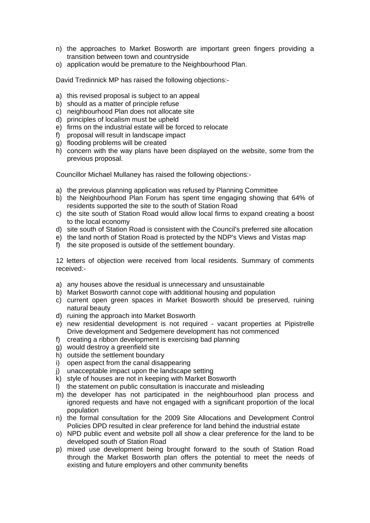- n) the approaches to Market Bosworth are important green fingers providing a transition between town and countryside
- o) application would be premature to the Neighbourhood Plan.

David Tredinnick MP has raised the following objections:-

- a) this revised proposal is subject to an appeal
- b) should as a matter of principle refuse
- c) neighbourhood Plan does not allocate site
- d) principles of localism must be upheld
- e) firms on the industrial estate will be forced to relocate
- f) proposal will result in landscape impact
- g) flooding problems will be created
- h) concern with the way plans have been displayed on the website, some from the previous proposal.

Councillor Michael Mullaney has raised the following objections:-

- a) the previous planning application was refused by Planning Committee
- b) the Neighbourhood Plan Forum has spent time engaging showing that 64% of residents supported the site to the south of Station Road
- c) the site south of Station Road would allow local firms to expand creating a boost to the local economy
- d) site south of Station Road is consistent with the Council's preferred site allocation
- e) the land north of Station Road is protected by the NDP's Views and Vistas map
- f) the site proposed is outside of the settlement boundary.

12 letters of objection were received from local residents. Summary of comments received:-

- a) any houses above the residual is unnecessary and unsustainable
- b) Market Bosworth cannot cope with additional housing and population
- c) current open green spaces in Market Bosworth should be preserved, ruining natural beauty
- d) ruining the approach into Market Bosworth
- e) new residential development is not required vacant properties at Pipistrelle Drive development and Sedgemere development has not commenced
- f) creating a ribbon development is exercising bad planning
- g) would destroy a greenfield site
- h) outside the settlement boundary
- i) open aspect from the canal disappearing
- j) unacceptable impact upon the landscape setting
- k) style of houses are not in keeping with Market Bosworth
- l) the statement on public consultation is inaccurate and misleading
- m) the developer has not participated in the neighbourhood plan process and ignored requests and have not engaged with a significant proportion of the local population
- n) the formal consultation for the 2009 Site Allocations and Development Control Policies DPD resulted in clear preference for land behind the industrial estate
- o) NPD public event and website poll all show a clear preference for the land to be developed south of Station Road
- p) mixed use development being brought forward to the south of Station Road through the Market Bosworth plan offers the potential to meet the needs of existing and future employers and other community benefits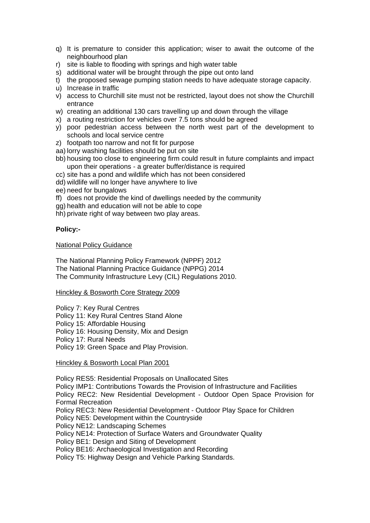- q) It is premature to consider this application; wiser to await the outcome of the neighbourhood plan
- r) site is liable to flooding with springs and high water table
- s) additional water will be brought through the pipe out onto land
- t) the proposed sewage pumping station needs to have adequate storage capacity.
- u) Increase in traffic
- v) access to Churchill site must not be restricted, layout does not show the Churchill entrance
- w) creating an additional 130 cars travelling up and down through the village
- x) a routing restriction for vehicles over 7.5 tons should be agreed
- y) poor pedestrian access between the north west part of the development to schools and local service centre
- z) footpath too narrow and not fit for purpose
- aa) lorry washing facilities should be put on site
- bb) housing too close to engineering firm could result in future complaints and impact upon their operations - a greater buffer/distance is required
- cc) site has a pond and wildlife which has not been considered
- dd) wildlife will no longer have anywhere to live
- ee) need for bungalows
- ff) does not provide the kind of dwellings needed by the community
- gg) health and education will not be able to cope
- hh) private right of way between two play areas.

# **Policy:-**

## National Policy Guidance

The National Planning Policy Framework (NPPF) 2012 The National Planning Practice Guidance (NPPG) 2014 The Community Infrastructure Levy (CIL) Regulations 2010.

## Hinckley & Bosworth Core Strategy 2009

Policy 7: Key Rural Centres Policy 11: Key Rural Centres Stand Alone Policy 15: Affordable Housing Policy 16: Housing Density, Mix and Design Policy 17: Rural Needs Policy 19: Green Space and Play Provision.

## Hinckley & Bosworth Local Plan 2001

Policy RES5: Residential Proposals on Unallocated Sites

Policy IMP1: Contributions Towards the Provision of Infrastructure and Facilities Policy REC2: New Residential Development - Outdoor Open Space Provision for Formal Recreation

Policy REC3: New Residential Development - Outdoor Play Space for Children

Policy NE5: Development within the Countryside

Policy NE12: Landscaping Schemes

Policy NE14: Protection of Surface Waters and Groundwater Quality

Policy BE1: Design and Siting of Development

Policy BE16: Archaeological Investigation and Recording

Policy T5: Highway Design and Vehicle Parking Standards.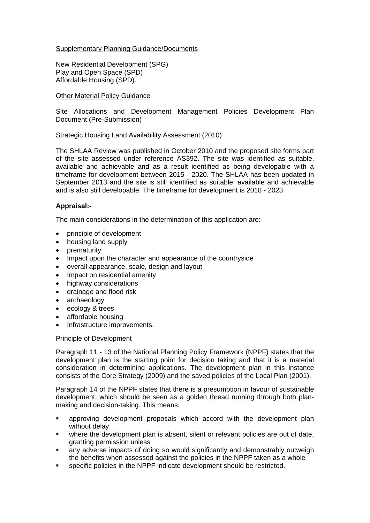# Supplementary Planning Guidance/Documents

New Residential Development (SPG) Play and Open Space (SPD) Affordable Housing (SPD).

## Other Material Policy Guidance

Site Allocations and Development Management Policies Development Plan Document (Pre-Submission)

Strategic Housing Land Availability Assessment (2010)

The SHLAA Review was published in October 2010 and the proposed site forms part of the site assessed under reference AS392. The site was identified as suitable, available and achievable and as a result identified as being developable with a timeframe for development between 2015 - 2020. The SHLAA has been updated in September 2013 and the site is still identified as suitable, available and achievable and is also still developable. The timeframe for development is 2018 - 2023.

# **Appraisal:-**

The main considerations in the determination of this application are:-

- principle of development
- housing land supply
- prematurity
- Impact upon the character and appearance of the countryside
- overall appearance, scale, design and layout
- Impact on residential amenity
- highway considerations
- drainage and flood risk
- archaeology
- ecology & trees
- affordable housing
- Infrastructure improvements.

## Principle of Development

Paragraph 11 - 13 of the National Planning Policy Framework (NPPF) states that the development plan is the starting point for decision taking and that it is a material consideration in determining applications. The development plan in this instance consists of the Core Strategy (2009) and the saved policies of the Local Plan (2001).

Paragraph 14 of the NPPF states that there is a presumption in favour of sustainable development, which should be seen as a golden thread running through both planmaking and decision-taking. This means:

- approving development proposals which accord with the development plan without delay
- where the development plan is absent, silent or relevant policies are out of date, granting permission unless
- any adverse impacts of doing so would significantly and demonstrably outweigh the benefits when assessed against the policies in the NPPF taken as a whole
- specific policies in the NPPF indicate development should be restricted.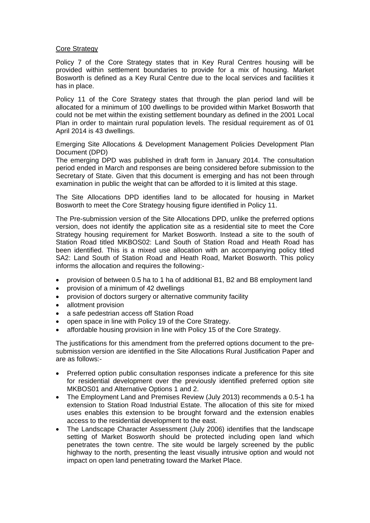## Core Strategy

Policy 7 of the Core Strategy states that in Key Rural Centres housing will be provided within settlement boundaries to provide for a mix of housing. Market Bosworth is defined as a Key Rural Centre due to the local services and facilities it has in place.

Policy 11 of the Core Strategy states that through the plan period land will be allocated for a minimum of 100 dwellings to be provided within Market Bosworth that could not be met within the existing settlement boundary as defined in the 2001 Local Plan in order to maintain rural population levels. The residual requirement as of 01 April 2014 is 43 dwellings.

Emerging Site Allocations & Development Management Policies Development Plan Document (DPD)

The emerging DPD was published in draft form in January 2014. The consultation period ended in March and responses are being considered before submission to the Secretary of State. Given that this document is emerging and has not been through examination in public the weight that can be afforded to it is limited at this stage.

The Site Allocations DPD identifies land to be allocated for housing in Market Bosworth to meet the Core Strategy housing figure identified in Policy 11.

The Pre-submission version of the Site Allocations DPD, unlike the preferred options version, does not identify the application site as a residential site to meet the Core Strategy housing requirement for Market Bosworth. Instead a site to the south of Station Road titled MKBOS02: Land South of Station Road and Heath Road has been identified. This is a mixed use allocation with an accompanying policy titled SA2: Land South of Station Road and Heath Road, Market Bosworth. This policy informs the allocation and requires the following:-

- provision of between 0.5 ha to 1 ha of additional B1, B2 and B8 employment land
- provision of a minimum of 42 dwellings
- provision of doctors surgery or alternative community facility
- allotment provision
- a safe pedestrian access off Station Road
- open space in line with Policy 19 of the Core Strategy.
- affordable housing provision in line with Policy 15 of the Core Strategy.

The justifications for this amendment from the preferred options document to the presubmission version are identified in the Site Allocations Rural Justification Paper and are as follows:-

- Preferred option public consultation responses indicate a preference for this site for residential development over the previously identified preferred option site MKBOS01 and Alternative Options 1 and 2.
- The Employment Land and Premises Review (July 2013) recommends a 0.5-1 ha extension to Station Road Industrial Estate. The allocation of this site for mixed uses enables this extension to be brought forward and the extension enables access to the residential development to the east.
- The Landscape Character Assessment (July 2006) identifies that the landscape setting of Market Bosworth should be protected including open land which penetrates the town centre. The site would be largely screened by the public highway to the north, presenting the least visually intrusive option and would not impact on open land penetrating toward the Market Place.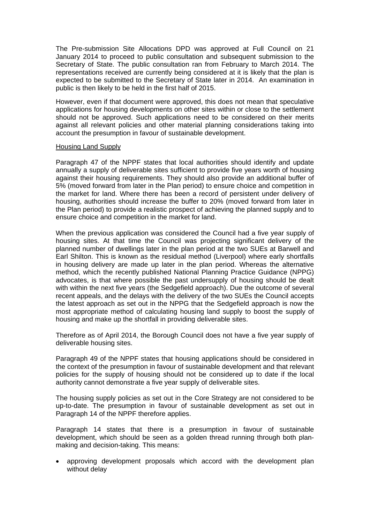The Pre-submission Site Allocations DPD was approved at Full Council on 21 January 2014 to proceed to public consultation and subsequent submission to the Secretary of State. The public consultation ran from February to March 2014. The representations received are currently being considered at it is likely that the plan is expected to be submitted to the Secretary of State later in 2014. An examination in public is then likely to be held in the first half of 2015.

However, even if that document were approved, this does not mean that speculative applications for housing developments on other sites within or close to the settlement should not be approved. Such applications need to be considered on their merits against all relevant policies and other material planning considerations taking into account the presumption in favour of sustainable development.

## Housing Land Supply

Paragraph 47 of the NPPF states that local authorities should identify and update annually a supply of deliverable sites sufficient to provide five years worth of housing against their housing requirements. They should also provide an additional buffer of 5% (moved forward from later in the Plan period) to ensure choice and competition in the market for land. Where there has been a record of persistent under delivery of housing, authorities should increase the buffer to 20% (moved forward from later in the Plan period) to provide a realistic prospect of achieving the planned supply and to ensure choice and competition in the market for land.

When the previous application was considered the Council had a five year supply of housing sites. At that time the Council was projecting significant delivery of the planned number of dwellings later in the plan period at the two SUEs at Barwell and Earl Shilton. This is known as the residual method (Liverpool) where early shortfalls in housing delivery are made up later in the plan period. Whereas the alternative method, which the recently published National Planning Practice Guidance (NPPG) advocates, is that where possible the past undersupply of housing should be dealt with within the next five years (the Sedgefield approach). Due the outcome of several recent appeals, and the delays with the delivery of the two SUEs the Council accepts the latest approach as set out in the NPPG that the Sedgefield approach is now the most appropriate method of calculating housing land supply to boost the supply of housing and make up the shortfall in providing deliverable sites.

Therefore as of April 2014, the Borough Council does not have a five year supply of deliverable housing sites.

Paragraph 49 of the NPPF states that housing applications should be considered in the context of the presumption in favour of sustainable development and that relevant policies for the supply of housing should not be considered up to date if the local authority cannot demonstrate a five year supply of deliverable sites.

The housing supply policies as set out in the Core Strategy are not considered to be up-to-date. The presumption in favour of sustainable development as set out in Paragraph 14 of the NPPF therefore applies.

Paragraph 14 states that there is a presumption in favour of sustainable development, which should be seen as a golden thread running through both planmaking and decision-taking. This means:

• approving development proposals which accord with the development plan without delay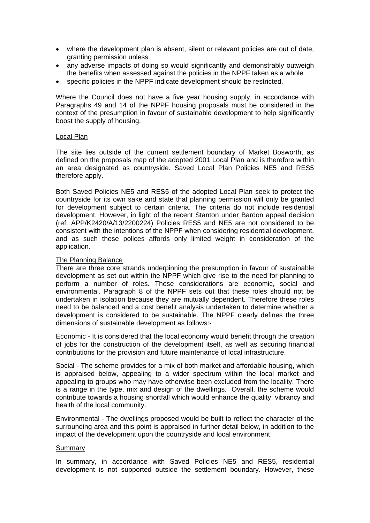- where the development plan is absent, silent or relevant policies are out of date, granting permission unless
- any adverse impacts of doing so would significantly and demonstrably outweigh the benefits when assessed against the policies in the NPPF taken as a whole
- specific policies in the NPPF indicate development should be restricted.

Where the Council does not have a five year housing supply, in accordance with Paragraphs 49 and 14 of the NPPF housing proposals must be considered in the context of the presumption in favour of sustainable development to help significantly boost the supply of housing.

## Local Plan

The site lies outside of the current settlement boundary of Market Bosworth, as defined on the proposals map of the adopted 2001 Local Plan and is therefore within an area designated as countryside. Saved Local Plan Policies NE5 and RES5 therefore apply.

Both Saved Policies NE5 and RES5 of the adopted Local Plan seek to protect the countryside for its own sake and state that planning permission will only be granted for development subject to certain criteria. The criteria do not include residential development. However, in light of the recent Stanton under Bardon appeal decision (ref: APP/K2420/A/13/2200224) Policies RES5 and NE5 are not considered to be consistent with the intentions of the NPPF when considering residential development, and as such these polices affords only limited weight in consideration of the application.

# The Planning Balance

There are three core strands underpinning the presumption in favour of sustainable development as set out within the NPPF which give rise to the need for planning to perform a number of roles. These considerations are economic, social and environmental. Paragraph 8 of the NPPF sets out that these roles should not be undertaken in isolation because they are mutually dependent. Therefore these roles need to be balanced and a cost benefit analysis undertaken to determine whether a development is considered to be sustainable. The NPPF clearly defines the three dimensions of sustainable development as follows:-

Economic - It is considered that the local economy would benefit through the creation of jobs for the construction of the development itself, as well as securing financial contributions for the provision and future maintenance of local infrastructure.

Social - The scheme provides for a mix of both market and affordable housing, which is appraised below, appealing to a wider spectrum within the local market and appealing to groups who may have otherwise been excluded from the locality. There is a range in the type, mix and design of the dwellings. Overall, the scheme would contribute towards a housing shortfall which would enhance the quality, vibrancy and health of the local community.

Environmental - The dwellings proposed would be built to reflect the character of the surrounding area and this point is appraised in further detail below, in addition to the impact of the development upon the countryside and local environment.

## Summary

In summary, in accordance with Saved Policies NE5 and RES5, residential development is not supported outside the settlement boundary. However, these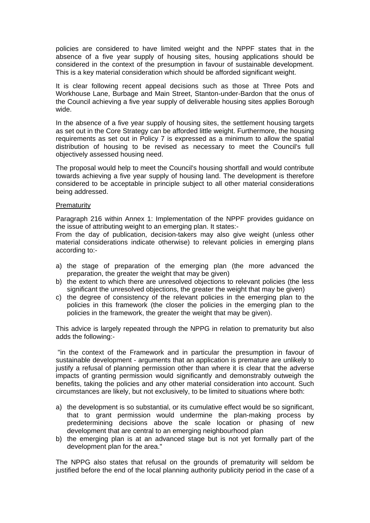policies are considered to have limited weight and the NPPF states that in the absence of a five year supply of housing sites, housing applications should be considered in the context of the presumption in favour of sustainable development. This is a key material consideration which should be afforded significant weight.

It is clear following recent appeal decisions such as those at Three Pots and Workhouse Lane, Burbage and Main Street, Stanton-under-Bardon that the onus of the Council achieving a five year supply of deliverable housing sites applies Borough wide.

In the absence of a five year supply of housing sites, the settlement housing targets as set out in the Core Strategy can be afforded little weight. Furthermore, the housing requirements as set out in Policy 7 is expressed as a minimum to allow the spatial distribution of housing to be revised as necessary to meet the Council's full objectively assessed housing need.

The proposal would help to meet the Council's housing shortfall and would contribute towards achieving a five year supply of housing land. The development is therefore considered to be acceptable in principle subject to all other material considerations being addressed.

## **Prematurity**

Paragraph 216 within Annex 1: Implementation of the NPPF provides guidance on the issue of attributing weight to an emerging plan. It states:-

From the day of publication, decision-takers may also give weight (unless other material considerations indicate otherwise) to relevant policies in emerging plans according to:-

- a) the stage of preparation of the emerging plan (the more advanced the preparation, the greater the weight that may be given)
- b) the extent to which there are unresolved objections to relevant policies (the less significant the unresolved objections, the greater the weight that may be given)
- c) the degree of consistency of the relevant policies in the emerging plan to the policies in this framework (the closer the policies in the emerging plan to the policies in the framework, the greater the weight that may be given).

This advice is largely repeated through the NPPG in relation to prematurity but also adds the following:-

"in the context of the Framework and in particular the presumption in favour of sustainable development - arguments that an application is premature are unlikely to justify a refusal of planning permission other than where it is clear that the adverse impacts of granting permission would significantly and demonstrably outweigh the benefits, taking the policies and any other material consideration into account. Such circumstances are likely, but not exclusively, to be limited to situations where both:

- a) the development is so substantial, or its cumulative effect would be so significant, that to grant permission would undermine the plan-making process by predetermining decisions above the scale location or phasing of new development that are central to an emerging neighbourhood plan
- b) the emerging plan is at an advanced stage but is not yet formally part of the development plan for the area."

The NPPG also states that refusal on the grounds of prematurity will seldom be justified before the end of the local planning authority publicity period in the case of a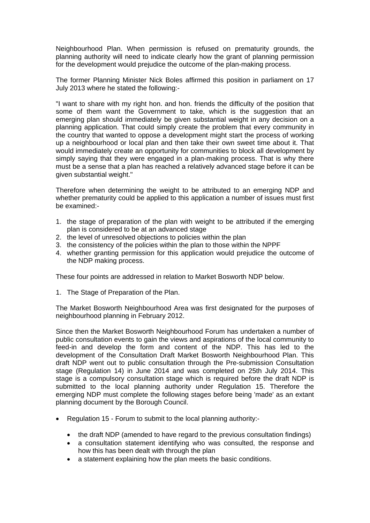Neighbourhood Plan. When permission is refused on prematurity grounds, the planning authority will need to indicate clearly how the grant of planning permission for the development would prejudice the outcome of the plan-making process.

The former Planning Minister Nick Boles affirmed this position in parliament on 17 July 2013 where he stated the following:-

"I want to share with my right hon. and hon. friends the difficulty of the position that some of them want the Government to take, which is the suggestion that an emerging plan should immediately be given substantial weight in any decision on a planning application. That could simply create the problem that every community in the country that wanted to oppose a development might start the process of working up a neighbourhood or local plan and then take their own sweet time about it. That would immediately create an opportunity for communities to block all development by simply saying that they were engaged in a plan-making process. That is why there must be a sense that a plan has reached a relatively advanced stage before it can be given substantial weight."

Therefore when determining the weight to be attributed to an emerging NDP and whether prematurity could be applied to this application a number of issues must first be examined:-

- 1. the stage of preparation of the plan with weight to be attributed if the emerging plan is considered to be at an advanced stage
- 2. the level of unresolved objections to policies within the plan
- 3. the consistency of the policies within the plan to those within the NPPF
- 4. whether granting permission for this application would prejudice the outcome of the NDP making process.

These four points are addressed in relation to Market Bosworth NDP below.

1. The Stage of Preparation of the Plan.

The Market Bosworth Neighbourhood Area was first designated for the purposes of neighbourhood planning in February 2012.

Since then the Market Bosworth Neighbourhood Forum has undertaken a number of public consultation events to gain the views and aspirations of the local community to feed-in and develop the form and content of the NDP. This has led to the development of the Consultation Draft Market Bosworth Neighbourhood Plan. This draft NDP went out to public consultation through the Pre-submission Consultation stage (Regulation 14) in June 2014 and was completed on 25th July 2014. This stage is a compulsory consultation stage which is required before the draft NDP is submitted to the local planning authority under Regulation 15. Therefore the emerging NDP must complete the following stages before being 'made' as an extant planning document by the Borough Council.

- Regulation 15 Forum to submit to the local planning authority:-
	- the draft NDP (amended to have regard to the previous consultation findings)
	- a consultation statement identifying who was consulted, the response and how this has been dealt with through the plan
	- a statement explaining how the plan meets the basic conditions.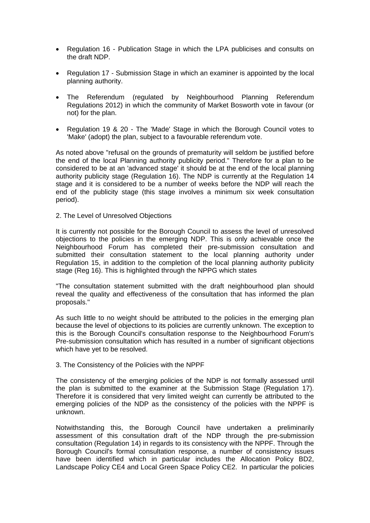- Regulation 16 Publication Stage in which the LPA publicises and consults on the draft NDP.
- Regulation 17 Submission Stage in which an examiner is appointed by the local planning authority.
- The Referendum (regulated by Neighbourhood Planning Referendum Regulations 2012) in which the community of Market Bosworth vote in favour (or not) for the plan.
- Regulation 19 & 20 The 'Made' Stage in which the Borough Council votes to 'Make' (adopt) the plan, subject to a favourable referendum vote.

As noted above "refusal on the grounds of prematurity will seldom be justified before the end of the local Planning authority publicity period." Therefore for a plan to be considered to be at an 'advanced stage' it should be at the end of the local planning authority publicity stage (Regulation 16). The NDP is currently at the Regulation 14 stage and it is considered to be a number of weeks before the NDP will reach the end of the publicity stage (this stage involves a minimum six week consultation period).

2. The Level of Unresolved Objections

It is currently not possible for the Borough Council to assess the level of unresolved objections to the policies in the emerging NDP. This is only achievable once the Neighbourhood Forum has completed their pre-submission consultation and submitted their consultation statement to the local planning authority under Regulation 15, in addition to the completion of the local planning authority publicity stage (Reg 16). This is highlighted through the NPPG which states

"The consultation statement submitted with the draft neighbourhood plan should reveal the quality and effectiveness of the consultation that has informed the plan proposals."

As such little to no weight should be attributed to the policies in the emerging plan because the level of objections to its policies are currently unknown. The exception to this is the Borough Council's consultation response to the Neighbourhood Forum's Pre-submission consultation which has resulted in a number of significant objections which have yet to be resolved.

## 3. The Consistency of the Policies with the NPPF

The consistency of the emerging policies of the NDP is not formally assessed until the plan is submitted to the examiner at the Submission Stage (Regulation 17). Therefore it is considered that very limited weight can currently be attributed to the emerging policies of the NDP as the consistency of the policies with the NPPF is unknown.

Notwithstanding this, the Borough Council have undertaken a preliminarily assessment of this consultation draft of the NDP through the pre-submission consultation (Regulation 14) in regards to its consistency with the NPPF. Through the Borough Council's formal consultation response, a number of consistency issues have been identified which in particular includes the Allocation Policy BD2, Landscape Policy CE4 and Local Green Space Policy CE2. In particular the policies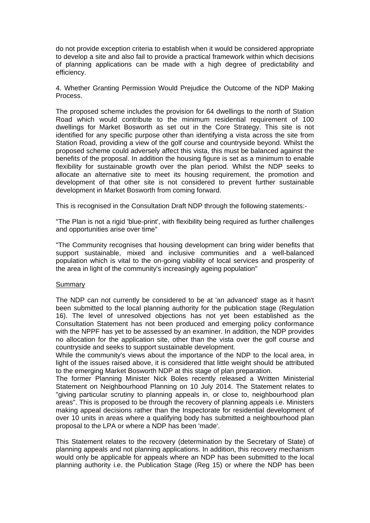do not provide exception criteria to establish when it would be considered appropriate to develop a site and also fail to provide a practical framework within which decisions of planning applications can be made with a high degree of predictability and efficiency.

4. Whether Granting Permission Would Prejudice the Outcome of the NDP Making Process.

The proposed scheme includes the provision for 64 dwellings to the north of Station Road which would contribute to the minimum residential requirement of 100 dwellings for Market Bosworth as set out in the Core Strategy. This site is not identified for any specific purpose other than identifying a vista across the site from Station Road, providing a view of the golf course and countryside beyond. Whilst the proposed scheme could adversely affect this vista, this must be balanced against the benefits of the proposal. In addition the housing figure is set as a minimum to enable flexibility for sustainable growth over the plan period. Whilst the NDP seeks to allocate an alternative site to meet its housing requirement, the promotion and development of that other site is not considered to prevent further sustainable development in Market Bosworth from coming forward.

This is recognised in the Consultation Draft NDP through the following statements:-

"The Plan is not a rigid 'blue-print', with flexibility being required as further challenges and opportunities arise over time"

"The Community recognises that housing development can bring wider benefits that support sustainable, mixed and inclusive communities and a well-balanced population which is vital to the on-going viability of local services and prosperity of the area in light of the community's increasingly ageing population"

## Summary

The NDP can not currently be considered to be at 'an advanced' stage as it hasn't been submitted to the local planning authority for the publication stage (Regulation 16). The level of unresolved objections has not yet been established as the Consultation Statement has not been produced and emerging policy conformance with the NPPF has yet to be assessed by an examiner. In addition, the NDP provides no allocation for the application site, other than the vista over the golf course and countryside and seeks to support sustainable development.

While the community's views about the importance of the NDP to the local area, in light of the issues raised above, it is considered that little weight should be attributed to the emerging Market Bosworth NDP at this stage of plan preparation.

The former Planning Minister Nick Boles recently released a Written Ministerial Statement on Neighbourhood Planning on 10 July 2014. The Statement relates to "giving particular scrutiny to planning appeals in, or close to, neighbourhood plan areas". This is proposed to be through the recovery of planning appeals i.e. Ministers making appeal decisions rather than the Inspectorate for residential development of over 10 units in areas where a qualifying body has submitted a neighbourhood plan proposal to the LPA or where a NDP has been 'made'.

This Statement relates to the recovery (determination by the Secretary of State) of planning appeals and not planning applications. In addition, this recovery mechanism would only be applicable for appeals where an NDP has been submitted to the local planning authority i.e. the Publication Stage (Reg 15) or where the NDP has been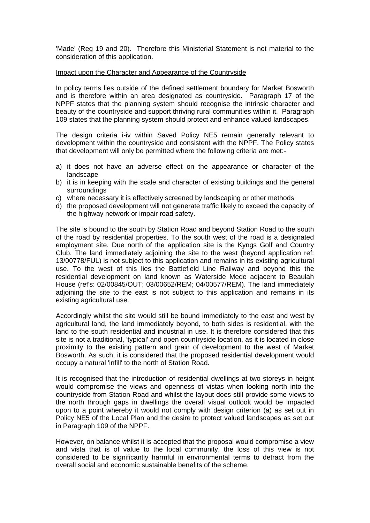'Made' (Reg 19 and 20). Therefore this Ministerial Statement is not material to the consideration of this application.

#### Impact upon the Character and Appearance of the Countryside

In policy terms lies outside of the defined settlement boundary for Market Bosworth and is therefore within an area designated as countryside. Paragraph 17 of the NPPF states that the planning system should recognise the intrinsic character and beauty of the countryside and support thriving rural communities within it. Paragraph 109 states that the planning system should protect and enhance valued landscapes.

The design criteria i-iv within Saved Policy NE5 remain generally relevant to development within the countryside and consistent with the NPPF. The Policy states that development will only be permitted where the following criteria are met:-

- a) it does not have an adverse effect on the appearance or character of the landscape
- b) it is in keeping with the scale and character of existing buildings and the general surroundings
- c) where necessary it is effectively screened by landscaping or other methods
- d) the proposed development will not generate traffic likely to exceed the capacity of the highway network or impair road safety.

The site is bound to the south by Station Road and beyond Station Road to the south of the road by residential properties. To the south west of the road is a designated employment site. Due north of the application site is the Kyngs Golf and Country Club. The land immediately adjoining the site to the west (beyond application ref: 13/00778/FUL) is not subject to this application and remains in its existing agricultural use. To the west of this lies the Battlefield Line Railway and beyond this the residential development on land known as Waterside Mede adjacent to Beaulah House (ref's: 02/00845/OUT; 03/00652/REM; 04/00577/REM). The land immediately adjoining the site to the east is not subject to this application and remains in its existing agricultural use.

Accordingly whilst the site would still be bound immediately to the east and west by agricultural land, the land immediately beyond, to both sides is residential, with the land to the south residential and industrial in use. It is therefore considered that this site is not a traditional, 'typical' and open countryside location, as it is located in close proximity to the existing pattern and grain of development to the west of Market Bosworth. As such, it is considered that the proposed residential development would occupy a natural 'infill' to the north of Station Road.

It is recognised that the introduction of residential dwellings at two storeys in height would compromise the views and openness of vistas when looking north into the countryside from Station Road and whilst the layout does still provide some views to the north through gaps in dwellings the overall visual outlook would be impacted upon to a point whereby it would not comply with design criterion (a) as set out in Policy NE5 of the Local Plan and the desire to protect valued landscapes as set out in Paragraph 109 of the NPPF.

However, on balance whilst it is accepted that the proposal would compromise a view and vista that is of value to the local community, the loss of this view is not considered to be significantly harmful in environmental terms to detract from the overall social and economic sustainable benefits of the scheme.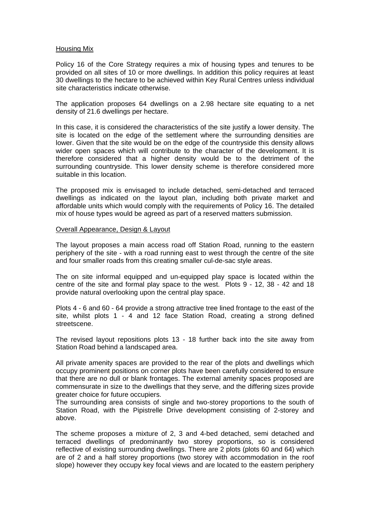#### Housing Mix

Policy 16 of the Core Strategy requires a mix of housing types and tenures to be provided on all sites of 10 or more dwellings. In addition this policy requires at least 30 dwellings to the hectare to be achieved within Key Rural Centres unless individual site characteristics indicate otherwise.

The application proposes 64 dwellings on a 2.98 hectare site equating to a net density of 21.6 dwellings per hectare.

In this case, it is considered the characteristics of the site justify a lower density. The site is located on the edge of the settlement where the surrounding densities are lower. Given that the site would be on the edge of the countryside this density allows wider open spaces which will contribute to the character of the development. It is therefore considered that a higher density would be to the detriment of the surrounding countryside. This lower density scheme is therefore considered more suitable in this location.

The proposed mix is envisaged to include detached, semi-detached and terraced dwellings as indicated on the layout plan, including both private market and affordable units which would comply with the requirements of Policy 16. The detailed mix of house types would be agreed as part of a reserved matters submission.

## Overall Appearance, Design & Layout

The layout proposes a main access road off Station Road, running to the eastern periphery of the site - with a road running east to west through the centre of the site and four smaller roads from this creating smaller cul-de-sac style areas.

The on site informal equipped and un-equipped play space is located within the centre of the site and formal play space to the west. Plots 9 - 12, 38 - 42 and 18 provide natural overlooking upon the central play space.

Plots 4 - 6 and 60 - 64 provide a strong attractive tree lined frontage to the east of the site, whilst plots 1 - 4 and 12 face Station Road, creating a strong defined streetscene.

The revised layout repositions plots 13 - 18 further back into the site away from Station Road behind a landscaped area.

All private amenity spaces are provided to the rear of the plots and dwellings which occupy prominent positions on corner plots have been carefully considered to ensure that there are no dull or blank frontages. The external amenity spaces proposed are commensurate in size to the dwellings that they serve, and the differing sizes provide greater choice for future occupiers.

The surrounding area consists of single and two-storey proportions to the south of Station Road, with the Pipistrelle Drive development consisting of 2-storey and above.

The scheme proposes a mixture of 2, 3 and 4-bed detached, semi detached and terraced dwellings of predominantly two storey proportions, so is considered reflective of existing surrounding dwellings. There are 2 plots (plots 60 and 64) which are of 2 and a half storey proportions (two storey with accommodation in the roof slope) however they occupy key focal views and are located to the eastern periphery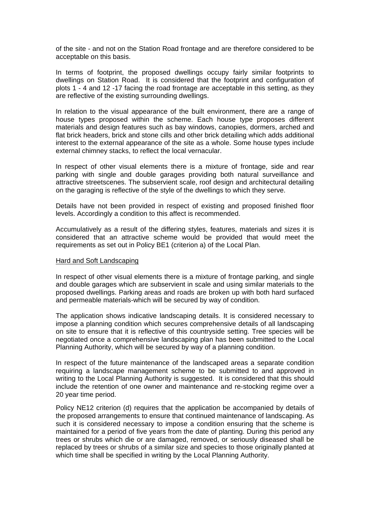of the site - and not on the Station Road frontage and are therefore considered to be acceptable on this basis.

In terms of footprint, the proposed dwellings occupy fairly similar footprints to dwellings on Station Road. It is considered that the footprint and configuration of plots 1 - 4 and 12 -17 facing the road frontage are acceptable in this setting, as they are reflective of the existing surrounding dwellings.

In relation to the visual appearance of the built environment, there are a range of house types proposed within the scheme. Each house type proposes different materials and design features such as bay windows, canopies, dormers, arched and flat brick headers, brick and stone cills and other brick detailing which adds additional interest to the external appearance of the site as a whole. Some house types include external chimney stacks, to reflect the local vernacular.

In respect of other visual elements there is a mixture of frontage, side and rear parking with single and double garages providing both natural surveillance and attractive streetscenes. The subservient scale, roof design and architectural detailing on the garaging is reflective of the style of the dwellings to which they serve.

Details have not been provided in respect of existing and proposed finished floor levels. Accordingly a condition to this affect is recommended.

Accumulatively as a result of the differing styles, features, materials and sizes it is considered that an attractive scheme would be provided that would meet the requirements as set out in Policy BE1 (criterion a) of the Local Plan.

#### Hard and Soft Landscaping

In respect of other visual elements there is a mixture of frontage parking, and single and double garages which are subservient in scale and using similar materials to the proposed dwellings. Parking areas and roads are broken up with both hard surfaced and permeable materials-which will be secured by way of condition.

The application shows indicative landscaping details. It is considered necessary to impose a planning condition which secures comprehensive details of all landscaping on site to ensure that it is reflective of this countryside setting. Tree species will be negotiated once a comprehensive landscaping plan has been submitted to the Local Planning Authority, which will be secured by way of a planning condition.

In respect of the future maintenance of the landscaped areas a separate condition requiring a landscape management scheme to be submitted to and approved in writing to the Local Planning Authority is suggested. It is considered that this should include the retention of one owner and maintenance and re-stocking regime over a 20 year time period.

Policy NE12 criterion (d) requires that the application be accompanied by details of the proposed arrangements to ensure that continued maintenance of landscaping. As such it is considered necessary to impose a condition ensuring that the scheme is maintained for a period of five years from the date of planting. During this period any trees or shrubs which die or are damaged, removed, or seriously diseased shall be replaced by trees or shrubs of a similar size and species to those originally planted at which time shall be specified in writing by the Local Planning Authority.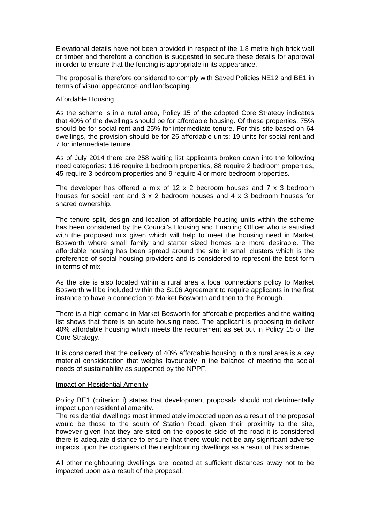Elevational details have not been provided in respect of the 1.8 metre high brick wall or timber and therefore a condition is suggested to secure these details for approval in order to ensure that the fencing is appropriate in its appearance.

The proposal is therefore considered to comply with Saved Policies NE12 and BE1 in terms of visual appearance and landscaping.

#### Affordable Housing

As the scheme is in a rural area, Policy 15 of the adopted Core Strategy indicates that 40% of the dwellings should be for affordable housing. Of these properties, 75% should be for social rent and 25% for intermediate tenure. For this site based on 64 dwellings, the provision should be for 26 affordable units; 19 units for social rent and 7 for intermediate tenure.

As of July 2014 there are 258 waiting list applicants broken down into the following need categories: 116 require 1 bedroom properties, 88 require 2 bedroom properties, 45 require 3 bedroom properties and 9 require 4 or more bedroom properties.

The developer has offered a mix of 12 x 2 bedroom houses and  $7 \times 3$  bedroom houses for social rent and 3 x 2 bedroom houses and 4 x 3 bedroom houses for shared ownership.

The tenure split, design and location of affordable housing units within the scheme has been considered by the Council's Housing and Enabling Officer who is satisfied with the proposed mix given which will help to meet the housing need in Market Bosworth where small family and starter sized homes are more desirable. The affordable housing has been spread around the site in small clusters which is the preference of social housing providers and is considered to represent the best form in terms of mix.

As the site is also located within a rural area a local connections policy to Market Bosworth will be included within the S106 Agreement to require applicants in the first instance to have a connection to Market Bosworth and then to the Borough.

There is a high demand in Market Bosworth for affordable properties and the waiting list shows that there is an acute housing need. The applicant is proposing to deliver 40% affordable housing which meets the requirement as set out in Policy 15 of the Core Strategy.

It is considered that the delivery of 40% affordable housing in this rural area is a key material consideration that weighs favourably in the balance of meeting the social needs of sustainability as supported by the NPPF.

#### Impact on Residential Amenity

Policy BE1 (criterion i) states that development proposals should not detrimentally impact upon residential amenity.

The residential dwellings most immediately impacted upon as a result of the proposal would be those to the south of Station Road, given their proximity to the site, however given that they are sited on the opposite side of the road it is considered there is adequate distance to ensure that there would not be any significant adverse impacts upon the occupiers of the neighbouring dwellings as a result of this scheme.

All other neighbouring dwellings are located at sufficient distances away not to be impacted upon as a result of the proposal.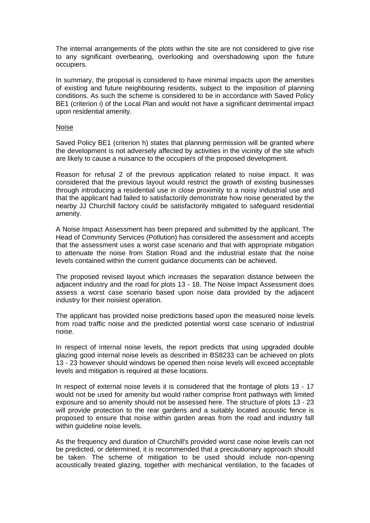The internal arrangements of the plots within the site are not considered to give rise to any significant overbearing, overlooking and overshadowing upon the future occupiers.

In summary, the proposal is considered to have minimal impacts upon the amenities of existing and future neighbouring residents, subject to the imposition of planning conditions. As such the scheme is considered to be in accordance with Saved Policy BE1 (criterion i) of the Local Plan and would not have a significant detrimental impact upon residential amenity.

#### Noise

Saved Policy BE1 (criterion h) states that planning permission will be granted where the development is not adversely affected by activities in the vicinity of the site which are likely to cause a nuisance to the occupiers of the proposed development.

Reason for refusal 2 of the previous application related to noise impact. It was considered that the previous layout would restrict the growth of existing businesses through introducing a residential use in close proximity to a noisy industrial use and that the applicant had failed to satisfactorily demonstrate how noise generated by the nearby JJ Churchill factory could be satisfactorily mitigated to safeguard residential amenity.

A Noise Impact Assessment has been prepared and submitted by the applicant. The Head of Community Services (Pollution) has considered the assessment and accepts that the assessment uses a worst case scenario and that with appropriate mitigation to attenuate the noise from Station Road and the industrial estate that the noise levels contained within the current guidance documents can be achieved.

The proposed revised layout which increases the separation distance between the adjacent industry and the road for plots 13 - 18. The Noise Impact Assessment does assess a worst case scenario based upon noise data provided by the adjacent industry for their noisiest operation.

The applicant has provided noise predictions based upon the measured noise levels from road traffic noise and the predicted potential worst case scenario of industrial noise.

In respect of internal noise levels, the report predicts that using upgraded double glazing good internal noise levels as described in BS8233 can be achieved on plots 13 - 23 however should windows be opened then noise levels will exceed acceptable levels and mitigation is required at these locations.

In respect of external noise levels it is considered that the frontage of plots 13 - 17 would not be used for amenity but would rather comprise front pathways with limited exposure and so amenity should not be assessed here. The structure of plots 13 - 23 will provide protection to the rear gardens and a suitably located acoustic fence is proposed to ensure that noise within garden areas from the road and industry fall within guideline noise levels.

As the frequency and duration of Churchill's provided worst case noise levels can not be predicted, or determined, it is recommended that a precautionary approach should be taken. The scheme of mitigation to be used should include non-opening acoustically treated glazing, together with mechanical ventilation, to the facades of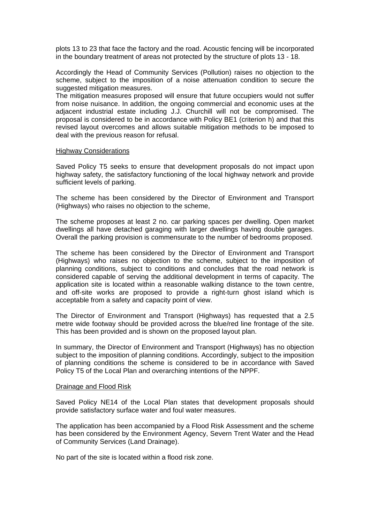plots 13 to 23 that face the factory and the road. Acoustic fencing will be incorporated in the boundary treatment of areas not protected by the structure of plots 13 - 18.

Accordingly the Head of Community Services (Pollution) raises no objection to the scheme, subject to the imposition of a noise attenuation condition to secure the suggested mitigation measures.

The mitigation measures proposed will ensure that future occupiers would not suffer from noise nuisance. In addition, the ongoing commercial and economic uses at the adjacent industrial estate including J.J. Churchill will not be compromised. The proposal is considered to be in accordance with Policy BE1 (criterion h) and that this revised layout overcomes and allows suitable mitigation methods to be imposed to deal with the previous reason for refusal.

#### Highway Considerations

Saved Policy T5 seeks to ensure that development proposals do not impact upon highway safety, the satisfactory functioning of the local highway network and provide sufficient levels of parking.

The scheme has been considered by the Director of Environment and Transport (Highways) who raises no objection to the scheme,

The scheme proposes at least 2 no. car parking spaces per dwelling. Open market dwellings all have detached garaging with larger dwellings having double garages. Overall the parking provision is commensurate to the number of bedrooms proposed.

The scheme has been considered by the Director of Environment and Transport (Highways) who raises no objection to the scheme, subject to the imposition of planning conditions, subject to conditions and concludes that the road network is considered capable of serving the additional development in terms of capacity. The application site is located within a reasonable walking distance to the town centre, and off-site works are proposed to provide a right-turn ghost island which is acceptable from a safety and capacity point of view.

The Director of Environment and Transport (Highways) has requested that a 2.5 metre wide footway should be provided across the blue/red line frontage of the site. This has been provided and is shown on the proposed layout plan.

In summary, the Director of Environment and Transport (Highways) has no objection subject to the imposition of planning conditions. Accordingly, subject to the imposition of planning conditions the scheme is considered to be in accordance with Saved Policy T5 of the Local Plan and overarching intentions of the NPPF.

#### Drainage and Flood Risk

Saved Policy NE14 of the Local Plan states that development proposals should provide satisfactory surface water and foul water measures.

The application has been accompanied by a Flood Risk Assessment and the scheme has been considered by the Environment Agency, Severn Trent Water and the Head of Community Services (Land Drainage).

No part of the site is located within a flood risk zone.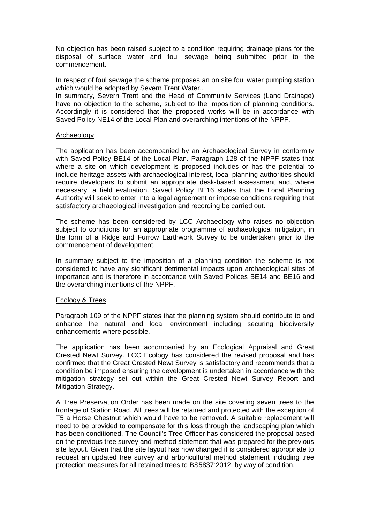No objection has been raised subject to a condition requiring drainage plans for the disposal of surface water and foul sewage being submitted prior to the commencement.

In respect of foul sewage the scheme proposes an on site foul water pumping station which would be adopted by Severn Trent Water..

In summary, Severn Trent and the Head of Community Services (Land Drainage) have no objection to the scheme, subject to the imposition of planning conditions. Accordingly it is considered that the proposed works will be in accordance with Saved Policy NE14 of the Local Plan and overarching intentions of the NPPF.

#### Archaeology

The application has been accompanied by an Archaeological Survey in conformity with Saved Policy BE14 of the Local Plan. Paragraph 128 of the NPPF states that where a site on which development is proposed includes or has the potential to include heritage assets with archaeological interest, local planning authorities should require developers to submit an appropriate desk-based assessment and, where necessary, a field evaluation. Saved Policy BE16 states that the Local Planning Authority will seek to enter into a legal agreement or impose conditions requiring that satisfactory archaeological investigation and recording be carried out.

The scheme has been considered by LCC Archaeology who raises no objection subject to conditions for an appropriate programme of archaeological mitigation, in the form of a Ridge and Furrow Earthwork Survey to be undertaken prior to the commencement of development.

In summary subject to the imposition of a planning condition the scheme is not considered to have any significant detrimental impacts upon archaeological sites of importance and is therefore in accordance with Saved Polices BE14 and BE16 and the overarching intentions of the NPPF.

#### Ecology & Trees

Paragraph 109 of the NPPF states that the planning system should contribute to and enhance the natural and local environment including securing biodiversity enhancements where possible.

The application has been accompanied by an Ecological Appraisal and Great Crested Newt Survey. LCC Ecology has considered the revised proposal and has confirmed that the Great Crested Newt Survey is satisfactory and recommends that a condition be imposed ensuring the development is undertaken in accordance with the mitigation strategy set out within the Great Crested Newt Survey Report and Mitigation Strategy.

A Tree Preservation Order has been made on the site covering seven trees to the frontage of Station Road. All trees will be retained and protected with the exception of T5 a Horse Chestnut which would have to be removed. A suitable replacement will need to be provided to compensate for this loss through the landscaping plan which has been conditioned. The Council's Tree Officer has considered the proposal based on the previous tree survey and method statement that was prepared for the previous site layout. Given that the site layout has now changed it is considered appropriate to request an updated tree survey and arboricultural method statement including tree protection measures for all retained trees to BS5837:2012. by way of condition.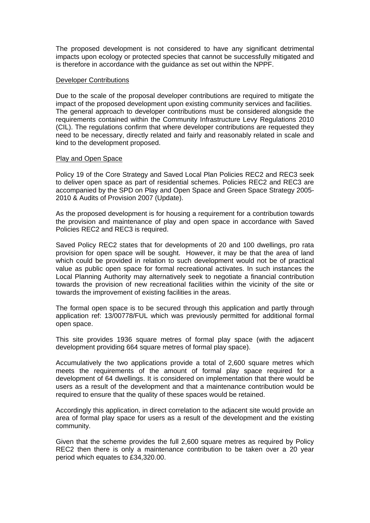The proposed development is not considered to have any significant detrimental impacts upon ecology or protected species that cannot be successfully mitigated and is therefore in accordance with the guidance as set out within the NPPF.

#### Developer Contributions

Due to the scale of the proposal developer contributions are required to mitigate the impact of the proposed development upon existing community services and facilities. The general approach to developer contributions must be considered alongside the requirements contained within the Community Infrastructure Levy Regulations 2010 (CIL). The regulations confirm that where developer contributions are requested they need to be necessary, directly related and fairly and reasonably related in scale and kind to the development proposed.

#### Play and Open Space

Policy 19 of the Core Strategy and Saved Local Plan Policies REC2 and REC3 seek to deliver open space as part of residential schemes. Policies REC2 and REC3 are accompanied by the SPD on Play and Open Space and Green Space Strategy 2005- 2010 & Audits of Provision 2007 (Update).

As the proposed development is for housing a requirement for a contribution towards the provision and maintenance of play and open space in accordance with Saved Policies REC2 and REC3 is required.

Saved Policy REC2 states that for developments of 20 and 100 dwellings, pro rata provision for open space will be sought. However, it may be that the area of land which could be provided in relation to such development would not be of practical value as public open space for formal recreational activates. In such instances the Local Planning Authority may alternatively seek to negotiate a financial contribution towards the provision of new recreational facilities within the vicinity of the site or towards the improvement of existing facilities in the areas.

The formal open space is to be secured through this application and partly through application ref: 13/00778/FUL which was previously permitted for additional formal open space.

This site provides 1936 square metres of formal play space (with the adjacent development providing 664 square metres of formal play space).

Accumulatively the two applications provide a total of 2,600 square metres which meets the requirements of the amount of formal play space required for a development of 64 dwellings. It is considered on implementation that there would be users as a result of the development and that a maintenance contribution would be required to ensure that the quality of these spaces would be retained.

Accordingly this application, in direct correlation to the adjacent site would provide an area of formal play space for users as a result of the development and the existing community.

Given that the scheme provides the full 2,600 square metres as required by Policy REC2 then there is only a maintenance contribution to be taken over a 20 year period which equates to £34,320.00.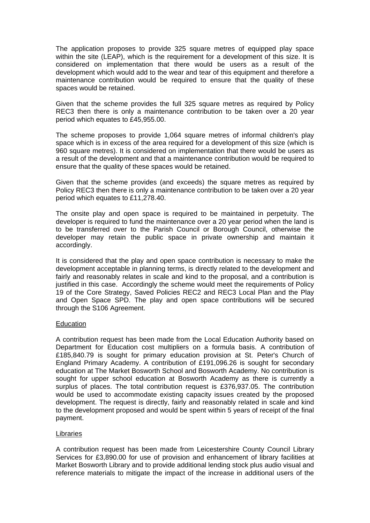The application proposes to provide 325 square metres of equipped play space within the site (LEAP), which is the requirement for a development of this size. It is considered on implementation that there would be users as a result of the development which would add to the wear and tear of this equipment and therefore a maintenance contribution would be required to ensure that the quality of these spaces would be retained.

Given that the scheme provides the full 325 square metres as required by Policy REC3 then there is only a maintenance contribution to be taken over a 20 year period which equates to £45,955.00.

The scheme proposes to provide 1,064 square metres of informal children's play space which is in excess of the area required for a development of this size (which is 960 square metres). It is considered on implementation that there would be users as a result of the development and that a maintenance contribution would be required to ensure that the quality of these spaces would be retained.

Given that the scheme provides (and exceeds) the square metres as required by Policy REC3 then there is only a maintenance contribution to be taken over a 20 year period which equates to £11,278.40.

The onsite play and open space is required to be maintained in perpetuity. The developer is required to fund the maintenance over a 20 year period when the land is to be transferred over to the Parish Council or Borough Council, otherwise the developer may retain the public space in private ownership and maintain it accordingly.

It is considered that the play and open space contribution is necessary to make the development acceptable in planning terms, is directly related to the development and fairly and reasonably relates in scale and kind to the proposal, and a contribution is justified in this case. Accordingly the scheme would meet the requirements of Policy 19 of the Core Strategy, Saved Policies REC2 and REC3 Local Plan and the Play and Open Space SPD. The play and open space contributions will be secured through the S106 Agreement.

# **Education**

A contribution request has been made from the Local Education Authority based on Department for Education cost multipliers on a formula basis. A contribution of £185,840.79 is sought for primary education provision at St. Peter's Church of England Primary Academy. A contribution of £191,096.26 is sought for secondary education at The Market Bosworth School and Bosworth Academy. No contribution is sought for upper school education at Bosworth Academy as there is currently a surplus of places. The total contribution request is £376,937.05. The contribution would be used to accommodate existing capacity issues created by the proposed development. The request is directly, fairly and reasonably related in scale and kind to the development proposed and would be spent within 5 years of receipt of the final payment.

## Libraries

A contribution request has been made from Leicestershire County Council Library Services for £3,890.00 for use of provision and enhancement of library facilities at Market Bosworth Library and to provide additional lending stock plus audio visual and reference materials to mitigate the impact of the increase in additional users of the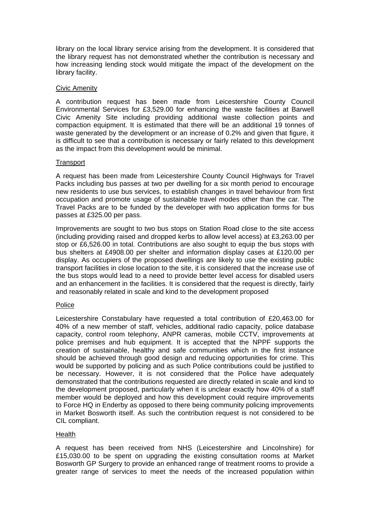library on the local library service arising from the development. It is considered that the library request has not demonstrated whether the contribution is necessary and how increasing lending stock would mitigate the impact of the development on the library facility.

# Civic Amenity

A contribution request has been made from Leicestershire County Council Environmental Services for £3,529.00 for enhancing the waste facilities at Barwell Civic Amenity Site including providing additional waste collection points and compaction equipment. It is estimated that there will be an additional 19 tonnes of waste generated by the development or an increase of 0.2% and given that figure, it is difficult to see that a contribution is necessary or fairly related to this development as the impact from this development would be minimal.

# **Transport**

A request has been made from Leicestershire County Council Highways for Travel Packs including bus passes at two per dwelling for a six month period to encourage new residents to use bus services, to establish changes in travel behaviour from first occupation and promote usage of sustainable travel modes other than the car. The Travel Packs are to be funded by the developer with two application forms for bus passes at £325.00 per pass.

Improvements are sought to two bus stops on Station Road close to the site access (including providing raised and dropped kerbs to allow level access) at £3,263.00 per stop or £6,526.00 in total. Contributions are also sought to equip the bus stops with bus shelters at £4908.00 per shelter and information display cases at £120.00 per display. As occupiers of the proposed dwellings are likely to use the existing public transport facilities in close location to the site, it is considered that the increase use of the bus stops would lead to a need to provide better level access for disabled users and an enhancement in the facilities. It is considered that the request is directly, fairly and reasonably related in scale and kind to the development proposed

## Police

Leicestershire Constabulary have requested a total contribution of £20,463.00 for 40% of a new member of staff, vehicles, additional radio capacity, police database capacity, control room telephony, ANPR cameras, mobile CCTV, improvements at police premises and hub equipment. It is accepted that the NPPF supports the creation of sustainable, healthy and safe communities which in the first instance should be achieved through good design and reducing opportunities for crime. This would be supported by policing and as such Police contributions could be justified to be necessary. However, it is not considered that the Police have adequately demonstrated that the contributions requested are directly related in scale and kind to the development proposed, particularly when it is unclear exactly how 40% of a staff member would be deployed and how this development could require improvements to Force HQ in Enderby as opposed to there being community policing improvements in Market Bosworth itself. As such the contribution request is not considered to be CIL compliant.

# Health

A request has been received from NHS (Leicestershire and Lincolnshire) for £15,030.00 to be spent on upgrading the existing consultation rooms at Market Bosworth GP Surgery to provide an enhanced range of treatment rooms to provide a greater range of services to meet the needs of the increased population within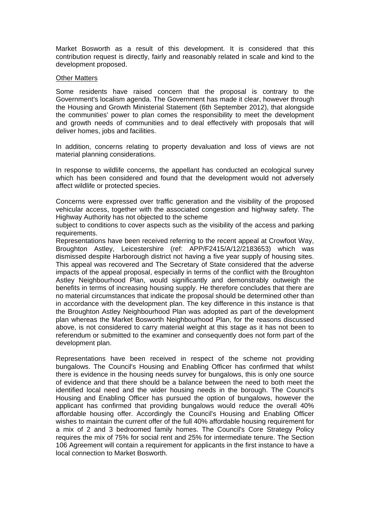Market Bosworth as a result of this development. It is considered that this contribution request is directly, fairly and reasonably related in scale and kind to the development proposed.

#### Other Matters

Some residents have raised concern that the proposal is contrary to the Government's localism agenda. The Government has made it clear, however through the Housing and Growth Ministerial Statement (6th September 2012), that alongside the communities' power to plan comes the responsibility to meet the development and growth needs of communities and to deal effectively with proposals that will deliver homes, jobs and facilities.

In addition, concerns relating to property devaluation and loss of views are not material planning considerations.

In response to wildlife concerns, the appellant has conducted an ecological survey which has been considered and found that the development would not adversely affect wildlife or protected species.

Concerns were expressed over traffic generation and the visibility of the proposed vehicular access, together with the associated congestion and highway safety. The Highway Authority has not objected to the scheme

subject to conditions to cover aspects such as the visibility of the access and parking requirements.

Representations have been received referring to the recent appeal at Crowfoot Way, Broughton Astley, Leicestershire (ref: APP/F2415/A/12/2183653) which was dismissed despite Harborough district not having a five year supply of housing sites. This appeal was recovered and The Secretary of State considered that the adverse impacts of the appeal proposal, especially in terms of the conflict with the Broughton Astley Neighbourhood Plan, would significantly and demonstrably outweigh the benefits in terms of increasing housing supply. He therefore concludes that there are no material circumstances that indicate the proposal should be determined other than in accordance with the development plan. The key difference in this instance is that the Broughton Astley Neighbourhood Plan was adopted as part of the development plan whereas the Market Bosworth Neighbourhood Plan, for the reasons discussed above, is not considered to carry material weight at this stage as it has not been to referendum or submitted to the examiner and consequently does not form part of the development plan.

Representations have been received in respect of the scheme not providing bungalows. The Council's Housing and Enabling Officer has confirmed that whilst there is evidence in the housing needs survey for bungalows, this is only one source of evidence and that there should be a balance between the need to both meet the identified local need and the wider housing needs in the borough. The Council's Housing and Enabling Officer has pursued the option of bungalows, however the applicant has confirmed that providing bungalows would reduce the overall 40% affordable housing offer. Accordingly the Council's Housing and Enabling Officer wishes to maintain the current offer of the full 40% affordable housing requirement for a mix of 2 and 3 bedroomed family homes. The Council's Core Strategy Policy requires the mix of 75% for social rent and 25% for intermediate tenure. The Section 106 Agreement will contain a requirement for applicants in the first instance to have a local connection to Market Bosworth.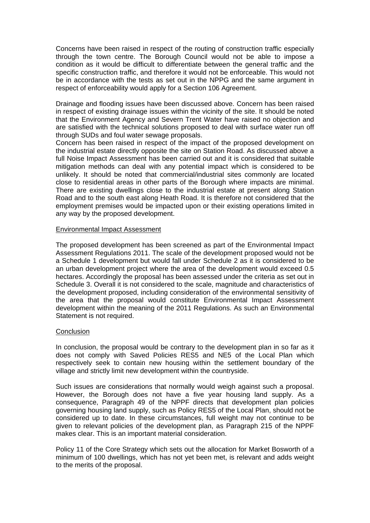Concerns have been raised in respect of the routing of construction traffic especially through the town centre. The Borough Council would not be able to impose a condition as it would be difficult to differentiate between the general traffic and the specific construction traffic, and therefore it would not be enforceable. This would not be in accordance with the tests as set out in the NPPG and the same argument in respect of enforceability would apply for a Section 106 Agreement.

Drainage and flooding issues have been discussed above. Concern has been raised in respect of existing drainage issues within the vicinity of the site. It should be noted that the Environment Agency and Severn Trent Water have raised no objection and are satisfied with the technical solutions proposed to deal with surface water run off through SUDs and foul water sewage proposals.

Concern has been raised in respect of the impact of the proposed development on the industrial estate directly opposite the site on Station Road. As discussed above a full Noise Impact Assessment has been carried out and it is considered that suitable mitigation methods can deal with any potential impact which is considered to be unlikely. It should be noted that commercial/industrial sites commonly are located close to residential areas in other parts of the Borough where impacts are minimal. There are existing dwellings close to the industrial estate at present along Station Road and to the south east along Heath Road. It is therefore not considered that the employment premises would be impacted upon or their existing operations limited in any way by the proposed development.

## Environmental Impact Assessment

The proposed development has been screened as part of the Environmental Impact Assessment Regulations 2011. The scale of the development proposed would not be a Schedule 1 development but would fall under Schedule 2 as it is considered to be an urban development project where the area of the development would exceed 0.5 hectares. Accordingly the proposal has been assessed under the criteria as set out in Schedule 3. Overall it is not considered to the scale, magnitude and characteristics of the development proposed, including consideration of the environmental sensitivity of the area that the proposal would constitute Environmental Impact Assessment development within the meaning of the 2011 Regulations. As such an Environmental Statement is not required.

## **Conclusion**

In conclusion, the proposal would be contrary to the development plan in so far as it does not comply with Saved Policies RES5 and NE5 of the Local Plan which respectively seek to contain new housing within the settlement boundary of the village and strictly limit new development within the countryside.

Such issues are considerations that normally would weigh against such a proposal. However, the Borough does not have a five year housing land supply. As a consequence, Paragraph 49 of the NPPF directs that development plan policies governing housing land supply, such as Policy RES5 of the Local Plan, should not be considered up to date. In these circumstances, full weight may not continue to be given to relevant policies of the development plan, as Paragraph 215 of the NPPF makes clear. This is an important material consideration.

Policy 11 of the Core Strategy which sets out the allocation for Market Bosworth of a minimum of 100 dwellings, which has not yet been met, is relevant and adds weight to the merits of the proposal.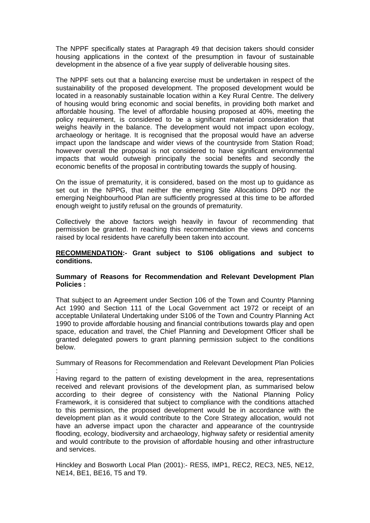The NPPF specifically states at Paragraph 49 that decision takers should consider housing applications in the context of the presumption in favour of sustainable development in the absence of a five year supply of deliverable housing sites.

The NPPF sets out that a balancing exercise must be undertaken in respect of the sustainability of the proposed development. The proposed development would be located in a reasonably sustainable location within a Key Rural Centre. The delivery of housing would bring economic and social benefits, in providing both market and affordable housing. The level of affordable housing proposed at 40%, meeting the policy requirement, is considered to be a significant material consideration that weighs heavily in the balance. The development would not impact upon ecology, archaeology or heritage. It is recognised that the proposal would have an adverse impact upon the landscape and wider views of the countryside from Station Road; however overall the proposal is not considered to have significant environmental impacts that would outweigh principally the social benefits and secondly the economic benefits of the proposal in contributing towards the supply of housing.

On the issue of prematurity, it is considered, based on the most up to guidance as set out in the NPPG, that neither the emerging Site Allocations DPD nor the emerging Neighbourhood Plan are sufficiently progressed at this time to be afforded enough weight to justify refusal on the grounds of prematurity.

Collectively the above factors weigh heavily in favour of recommending that permission be granted. In reaching this recommendation the views and concerns raised by local residents have carefully been taken into account.

# **RECOMMENDATION:- Grant subject to S106 obligations and subject to conditions.**

# **Summary of Reasons for Recommendation and Relevant Development Plan Policies :**

That subject to an Agreement under Section 106 of the Town and Country Planning Act 1990 and Section 111 of the Local Government act 1972 or receipt of an acceptable Unilateral Undertaking under S106 of the Town and Country Planning Act 1990 to provide affordable housing and financial contributions towards play and open space, education and travel, the Chief Planning and Development Officer shall be granted delegated powers to grant planning permission subject to the conditions below.

Summary of Reasons for Recommendation and Relevant Development Plan Policies

: Having regard to the pattern of existing development in the area, representations received and relevant provisions of the development plan, as summarised below according to their degree of consistency with the National Planning Policy Framework, it is considered that subject to compliance with the conditions attached to this permission, the proposed development would be in accordance with the development plan as it would contribute to the Core Strategy allocation, would not have an adverse impact upon the character and appearance of the countryside flooding, ecology, biodiversity and archaeology, highway safety or residential amenity and would contribute to the provision of affordable housing and other infrastructure and services.

Hinckley and Bosworth Local Plan (2001):- RES5, IMP1, REC2, REC3, NE5, NE12, NE14, BE1, BE16, T5 and T9.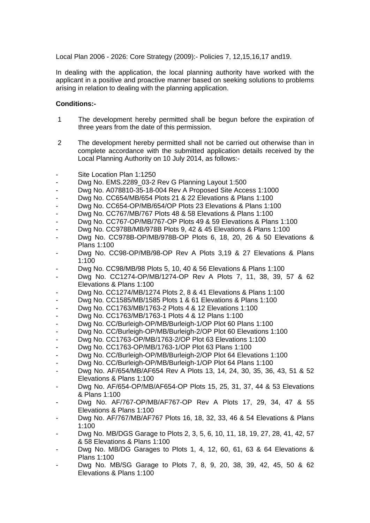Local Plan 2006 - 2026: Core Strategy (2009):- Policies 7, 12,15,16,17 and19.

In dealing with the application, the local planning authority have worked with the applicant in a positive and proactive manner based on seeking solutions to problems arising in relation to dealing with the planning application.

## **Conditions:-**

- 1 The development hereby permitted shall be begun before the expiration of three years from the date of this permission.
- 2 The development hereby permitted shall not be carried out otherwise than in complete accordance with the submitted application details received by the Local Planning Authority on 10 July 2014, as follows:-
- Site Location Plan 1:1250
- Dwg No. EMS.2289 03-2 Rev G Planning Layout 1:500
- Dwg No. A078810-35-18-004 Rev A Proposed Site Access 1:1000
- Dwg No. CC654/MB/654 Plots 21 & 22 Elevations & Plans 1:100
- Dwg No. CC654-OP/MB/654/OP Plots 23 Elevations & Plans 1:100
- Dwg No. CC767/MB/767 Plots 48 & 58 Elevations & Plans 1:100
- Dwg No. CC767-OP/MB/767-OP Plots 49 & 59 Elevations & Plans 1:100
- Dwg No. CC978B/MB/978B Plots 9, 42 & 45 Elevations & Plans 1:100
- Dwg No. CC978B-OP/MB/978B-OP Plots 6, 18, 20, 26 & 50 Elevations & Plans 1:100
- Dwg No. CC98-OP/MB/98-OP Rev A Plots 3,19 & 27 Elevations & Plans 1:100
- Dwg No. CC98/MB/98 Plots 5, 10, 40 & 56 Elevations & Plans 1:100
- Dwg No. CC1274-OP/MB/1274-OP Rev A Plots 7, 11, 38, 39, 57 & 62 Elevations & Plans 1:100
- Dwg No. CC1274/MB/1274 Plots 2, 8 & 41 Elevations & Plans 1:100
- Dwg No. CC1585/MB/1585 Plots 1 & 61 Elevations & Plans 1:100
- Dwg No. CC1763/MB/1763-2 Plots 4 & 12 Elevations 1:100
- Dwg No. CC1763/MB/1763-1 Plots 4 & 12 Plans 1:100
- Dwg No. CC/Burleigh-OP/MB/Burleigh-1/OP Plot 60 Plans 1:100
- Dwg No. CC/Burleigh-OP/MB/Burleigh-2/OP Plot 60 Elevations 1:100
- Dwg No. CC1763-OP/MB/1763-2/OP Plot 63 Elevations 1:100
- Dwg No. CC1763-OP/MB/1763-1/OP Plot 63 Plans 1:100
- Dwg No. CC/Burleigh-OP/MB/Burleigh-2/OP Plot 64 Elevations 1:100
- Dwg No. CC/Burleigh-OP/MB/Burleigh-1/OP Plot 64 Plans 1:100
- Dwg No. AF/654/MB/AF654 Rev A Plots 13, 14, 24, 30, 35, 36, 43, 51 & 52 Elevations & Plans 1:100
- Dwg No. AF/654-OP/MB/AF654-OP Plots 15, 25, 31, 37, 44 & 53 Elevations & Plans 1:100
- Dwg No. AF/767-OP/MB/AF767-OP Rev A Plots 17, 29, 34, 47 & 55 Elevations & Plans 1:100
- Dwg No. AF/767/MB/AF767 Plots 16, 18, 32, 33, 46 & 54 Elevations & Plans 1:100
- Dwg No. MB/DGS Garage to Plots 2, 3, 5, 6, 10, 11, 18, 19, 27, 28, 41, 42, 57 & 58 Elevations & Plans 1:100
- Dwg No. MB/DG Garages to Plots 1, 4, 12, 60, 61, 63 & 64 Elevations & Plans 1:100
- Dwg No. MB/SG Garage to Plots 7, 8, 9, 20, 38, 39, 42, 45, 50 & 62 Elevations & Plans 1:100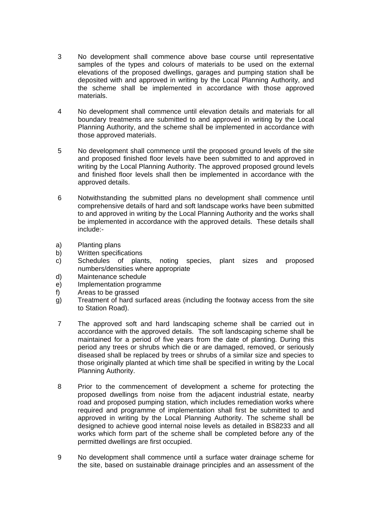- 3 No development shall commence above base course until representative samples of the types and colours of materials to be used on the external elevations of the proposed dwellings, garages and pumping station shall be deposited with and approved in writing by the Local Planning Authority, and the scheme shall be implemented in accordance with those approved materials.
- 4 No development shall commence until elevation details and materials for all boundary treatments are submitted to and approved in writing by the Local Planning Authority, and the scheme shall be implemented in accordance with those approved materials.
- 5 No development shall commence until the proposed ground levels of the site and proposed finished floor levels have been submitted to and approved in writing by the Local Planning Authority. The approved proposed ground levels and finished floor levels shall then be implemented in accordance with the approved details.
- 6 Notwithstanding the submitted plans no development shall commence until comprehensive details of hard and soft landscape works have been submitted to and approved in writing by the Local Planning Authority and the works shall be implemented in accordance with the approved details. These details shall include:-
- a) Planting plans
- b) Written specifications
- c) Schedules of plants, noting species, plant sizes and proposed numbers/densities where appropriate
- d) Maintenance schedule
- e) Implementation programme
- f) Areas to be grassed
- g) Treatment of hard surfaced areas (including the footway access from the site to Station Road).
- 7 The approved soft and hard landscaping scheme shall be carried out in accordance with the approved details. The soft landscaping scheme shall be maintained for a period of five years from the date of planting. During this period any trees or shrubs which die or are damaged, removed, or seriously diseased shall be replaced by trees or shrubs of a similar size and species to those originally planted at which time shall be specified in writing by the Local Planning Authority.
- 8 Prior to the commencement of development a scheme for protecting the proposed dwellings from noise from the adjacent industrial estate, nearby road and proposed pumping station, which includes remediation works where required and programme of implementation shall first be submitted to and approved in writing by the Local Planning Authority. The scheme shall be designed to achieve good internal noise levels as detailed in BS8233 and all works which form part of the scheme shall be completed before any of the permitted dwellings are first occupied.
- 9 No development shall commence until a surface water drainage scheme for the site, based on sustainable drainage principles and an assessment of the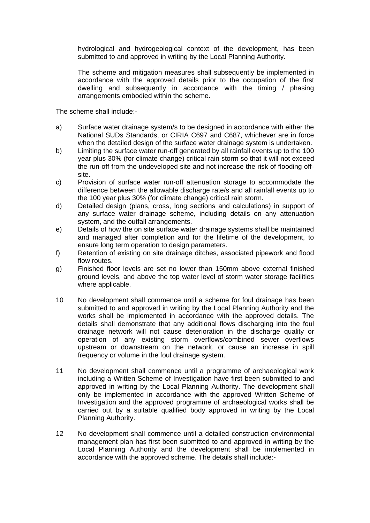hydrological and hydrogeological context of the development, has been submitted to and approved in writing by the Local Planning Authority.

The scheme and mitigation measures shall subsequently be implemented in accordance with the approved details prior to the occupation of the first dwelling and subsequently in accordance with the timing / phasing arrangements embodied within the scheme.

The scheme shall include:-

- a) Surface water drainage system/s to be designed in accordance with either the National SUDs Standards, or CIRIA C697 and C687, whichever are in force when the detailed design of the surface water drainage system is undertaken.
- b) Limiting the surface water run-off generated by all rainfall events up to the 100 year plus 30% (for climate change) critical rain storm so that it will not exceed the run-off from the undeveloped site and not increase the risk of flooding offsite.
- c) Provision of surface water run-off attenuation storage to accommodate the difference between the allowable discharge rate/s and all rainfall events up to the 100 year plus 30% (for climate change) critical rain storm.
- d) Detailed design (plans, cross, long sections and calculations) in support of any surface water drainage scheme, including details on any attenuation system, and the outfall arrangements.
- e) Details of how the on site surface water drainage systems shall be maintained and managed after completion and for the lifetime of the development, to ensure long term operation to design parameters.
- f) Retention of existing on site drainage ditches, associated pipework and flood flow routes.
- g) Finished floor levels are set no lower than 150mm above external finished ground levels, and above the top water level of storm water storage facilities where applicable.
- 10 No development shall commence until a scheme for foul drainage has been submitted to and approved in writing by the Local Planning Authority and the works shall be implemented in accordance with the approved details. The details shall demonstrate that any additional flows discharging into the foul drainage network will not cause deterioration in the discharge quality or operation of any existing storm overflows/combined sewer overflows upstream or downstream on the network, or cause an increase in spill frequency or volume in the foul drainage system.
- 11 No development shall commence until a programme of archaeological work including a Written Scheme of Investigation have first been submitted to and approved in writing by the Local Planning Authority. The development shall only be implemented in accordance with the approved Written Scheme of Investigation and the approved programme of archaeological works shall be carried out by a suitable qualified body approved in writing by the Local Planning Authority.
- 12 No development shall commence until a detailed construction environmental management plan has first been submitted to and approved in writing by the Local Planning Authority and the development shall be implemented in accordance with the approved scheme. The details shall include:-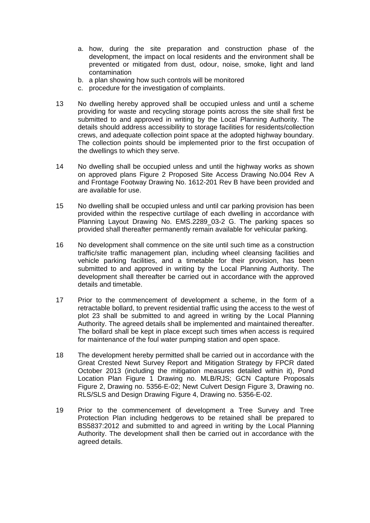- a. how, during the site preparation and construction phase of the development, the impact on local residents and the environment shall be prevented or mitigated from dust, odour, noise, smoke, light and land contamination
- b. a plan showing how such controls will be monitored
- c. procedure for the investigation of complaints.
- 13 No dwelling hereby approved shall be occupied unless and until a scheme providing for waste and recycling storage points across the site shall first be submitted to and approved in writing by the Local Planning Authority. The details should address accessibility to storage facilities for residents/collection crews, and adequate collection point space at the adopted highway boundary. The collection points should be implemented prior to the first occupation of the dwellings to which they serve.
- 14 No dwelling shall be occupied unless and until the highway works as shown on approved plans Figure 2 Proposed Site Access Drawing No.004 Rev A and Frontage Footway Drawing No. 1612-201 Rev B have been provided and are available for use.
- 15 No dwelling shall be occupied unless and until car parking provision has been provided within the respective curtilage of each dwelling in accordance with Planning Layout Drawing No. EMS.2289\_03-2 G. The parking spaces so provided shall thereafter permanently remain available for vehicular parking.
- 16 No development shall commence on the site until such time as a construction traffic/site traffic management plan, including wheel cleansing facilities and vehicle parking facilities, and a timetable for their provision, has been submitted to and approved in writing by the Local Planning Authority. The development shall thereafter be carried out in accordance with the approved details and timetable.
- 17 Prior to the commencement of development a scheme, in the form of a retractable bollard, to prevent residential traffic using the access to the west of plot 23 shall be submitted to and agreed in writing by the Local Planning Authority. The agreed details shall be implemented and maintained thereafter. The bollard shall be kept in place except such times when access is required for maintenance of the foul water pumping station and open space.
- 18 The development hereby permitted shall be carried out in accordance with the Great Crested Newt Survey Report and Mitigation Strategy by FPCR dated October 2013 (including the mitigation measures detailed within it), Pond Location Plan Figure 1 Drawing no. MLB/RJS; GCN Capture Proposals Figure 2, Drawing no. 5356-E-02; Newt Culvert Design Figure 3, Drawing no. RLS/SLS and Design Drawing Figure 4, Drawing no. 5356-E-02.
- 19 Prior to the commencement of development a Tree Survey and Tree Protection Plan including hedgerows to be retained shall be prepared to BS5837:2012 and submitted to and agreed in writing by the Local Planning Authority. The development shall then be carried out in accordance with the agreed details.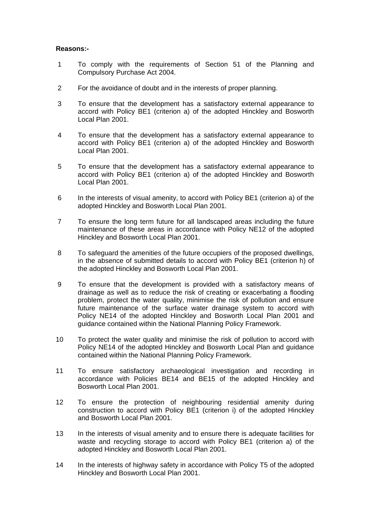## **Reasons:-**

- 1 To comply with the requirements of Section 51 of the Planning and Compulsory Purchase Act 2004.
- 2 For the avoidance of doubt and in the interests of proper planning.
- 3 To ensure that the development has a satisfactory external appearance to accord with Policy BE1 (criterion a) of the adopted Hinckley and Bosworth Local Plan 2001.
- 4 To ensure that the development has a satisfactory external appearance to accord with Policy BE1 (criterion a) of the adopted Hinckley and Bosworth Local Plan 2001.
- 5 To ensure that the development has a satisfactory external appearance to accord with Policy BE1 (criterion a) of the adopted Hinckley and Bosworth Local Plan 2001.
- 6 In the interests of visual amenity, to accord with Policy BE1 (criterion a) of the adopted Hinckley and Bosworth Local Plan 2001.
- 7 To ensure the long term future for all landscaped areas including the future maintenance of these areas in accordance with Policy NE12 of the adopted Hinckley and Bosworth Local Plan 2001.
- 8 To safeguard the amenities of the future occupiers of the proposed dwellings, in the absence of submitted details to accord with Policy BE1 (criterion h) of the adopted Hinckley and Bosworth Local Plan 2001.
- 9 To ensure that the development is provided with a satisfactory means of drainage as well as to reduce the risk of creating or exacerbating a flooding problem, protect the water quality, minimise the risk of pollution and ensure future maintenance of the surface water drainage system to accord with Policy NE14 of the adopted Hinckley and Bosworth Local Plan 2001 and guidance contained within the National Planning Policy Framework.
- 10 To protect the water quality and minimise the risk of pollution to accord with Policy NE14 of the adopted Hinckley and Bosworth Local Plan and guidance contained within the National Planning Policy Framework.
- 11 To ensure satisfactory archaeological investigation and recording in accordance with Policies BE14 and BE15 of the adopted Hinckley and Bosworth Local Plan 2001.
- 12 To ensure the protection of neighbouring residential amenity during construction to accord with Policy BE1 (criterion i) of the adopted Hinckley and Bosworth Local Plan 2001.
- 13 In the interests of visual amenity and to ensure there is adequate facilities for waste and recycling storage to accord with Policy BE1 (criterion a) of the adopted Hinckley and Bosworth Local Plan 2001.
- 14 In the interests of highway safety in accordance with Policy T5 of the adopted Hinckley and Bosworth Local Plan 2001.